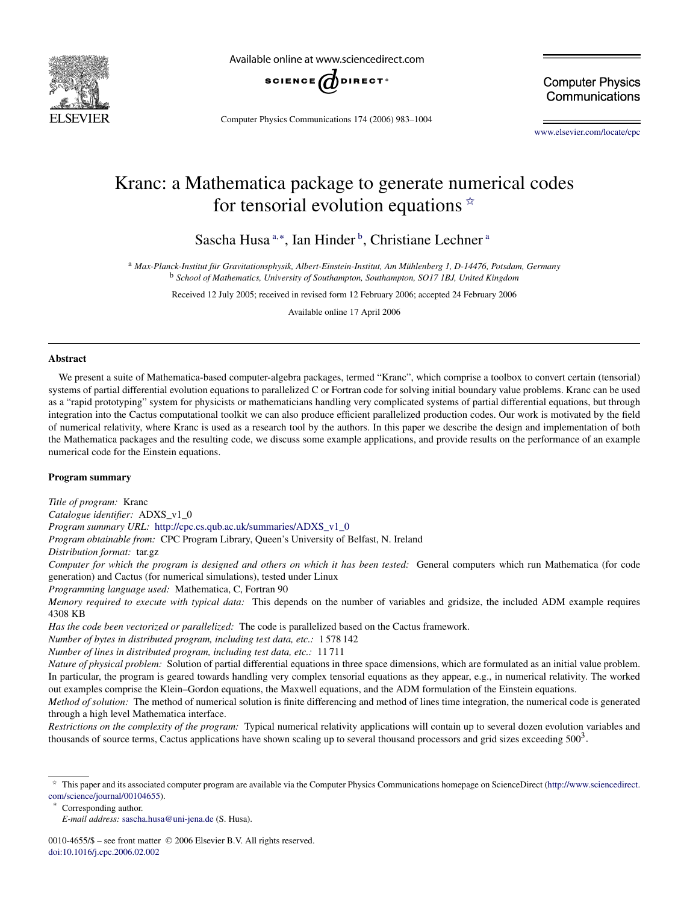

Available online at www.sciencedirect.com



Computer Physics Communications 174 (2006) 983–1004

**Computer Physics** Communications

[www.elsevier.com/locate/cpc](http://www.elsevier.com/locate/cpc)

# Kranc: a Mathematica package to generate numerical codes for tensorial evolution equations  $\dot{\mathbf{x}}$

Sascha Husa<sup>a,∗</sup>, Ian Hinder<sup>b</sup>, Christiane Lechner<sup>a</sup>

<sup>a</sup> *Max-Planck-Institut für Gravitationsphysik, Albert-Einstein-Institut, Am Mühlenberg 1, D-14476, Potsdam, Germany* <sup>b</sup> *School of Mathematics, University of Southampton, Southampton, SO17 1BJ, United Kingdom*

Received 12 July 2005; received in revised form 12 February 2006; accepted 24 February 2006

Available online 17 April 2006

#### **Abstract**

We present a suite of Mathematica-based computer-algebra packages, termed "Kranc", which comprise a toolbox to convert certain (tensorial) systems of partial differential evolution equations to parallelized C or Fortran code for solving initial boundary value problems. Kranc can be used as a "rapid prototyping" system for physicists or mathematicians handling very complicated systems of partial differential equations, but through integration into the Cactus computational toolkit we can also produce efficient parallelized production codes. Our work is motivated by the field of numerical relativity, where Kranc is used as a research tool by the authors. In this paper we describe the design and implementation of both the Mathematica packages and the resulting code, we discuss some example applications, and provide results on the performance of an example numerical code for the Einstein equations.

#### **Program summary**

*Title of program:* Kranc

*Catalogue identifier:* ADXS\_v1\_0

*Program summary URL:* [http://cpc.cs.qub.ac.uk/summaries/ADXS\\_v1\\_0](http://cpc.cs.qub.ac.uk/summaries/ADXS_v1_0)

*Program obtainable from:* CPC Program Library, Queen's University of Belfast, N. Ireland

*Distribution format:* tar.gz

*Computer for which the program is designed and others on which it has been tested:* General computers which run Mathematica (for code generation) and Cactus (for numerical simulations), tested under Linux

*Programming language used:* Mathematica, C, Fortran 90

*Memory required to execute with typical data:* This depends on the number of variables and gridsize, the included ADM example requires 4308 KB

*Has the code been vectorized or parallelized:* The code is parallelized based on the Cactus framework.

*Number of bytes in distributed program, including test data, etc.:* 1 578 142

*Number of lines in distributed program, including test data, etc.:* 11 711

*Nature of physical problem:* Solution of partial differential equations in three space dimensions, which are formulated as an initial value problem. In particular, the program is geared towards handling very complex tensorial equations as they appear, e.g., in numerical relativity. The worked out examples comprise the Klein–Gordon equations, the Maxwell equations, and the ADM formulation of the Einstein equations.

*Method of solution:* The method of numerical solution is finite differencing and method of lines time integration, the numerical code is generated through a high level Mathematica interface.

*Restrictions on the complexity of the program:* Typical numerical relativity applications will contain up to several dozen evolution variables and thousands of source terms, Cactus applications have shown scaling up to several thousand processors and grid sizes exceeding 500<sup>3</sup>.

Corresponding author.

<sup>✩</sup> This paper and its associated computer program are available via the Computer Physics Communications homepage on ScienceDirect [\(http://www.sciencedirect.](http://www.sciencedirect.com/science/journal/00104655) [com/science/journal/00104655\)](http://www.sciencedirect.com/science/journal/00104655).

*E-mail address:* [sascha.husa@uni-jena.de](mailto:sascha.husa@uni-jena.de) (S. Husa).

<sup>0010-4655/\$ –</sup> see front matter © 2006 Elsevier B.V. All rights reserved. [doi:10.1016/j.cpc.2006.02.002](http://dx.doi.org/10.1016/j.cpc.2006.02.002)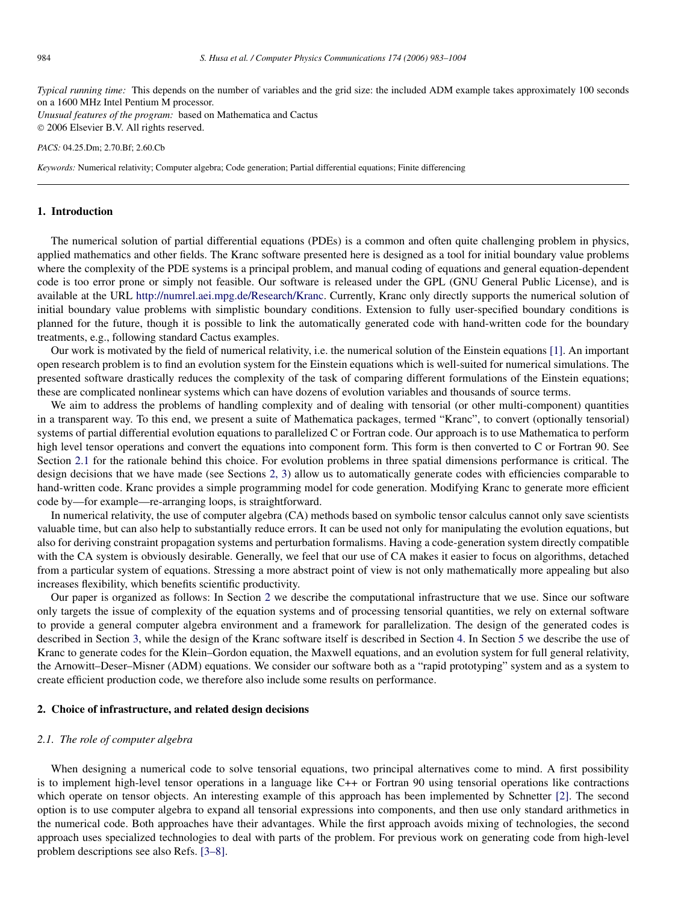*Typical running time:* This depends on the number of variables and the grid size: the included ADM example takes approximately 100 seconds on a 1600 MHz Intel Pentium M processor. *Unusual features of the program:* based on Mathematica and Cactus © 2006 Elsevier B.V. All rights reserved.

#### *PACS:* 04.25.Dm; 2.70.Bf; 2.60.Cb

*Keywords:* Numerical relativity; Computer algebra; Code generation; Partial differential equations; Finite differencing

## **1. Introduction**

The numerical solution of partial differential equations (PDEs) is a common and often quite challenging problem in physics, applied mathematics and other fields. The Kranc software presented here is designed as a tool for initial boundary value problems where the complexity of the PDE systems is a principal problem, and manual coding of equations and general equation-dependent code is too error prone or simply not feasible. Our software is released under the GPL (GNU General Public License), and is available at the URL [http://numrel.aei.mpg.de/Research/Kranc.](http://numrel.aei.mpg.de/Research/Kranc) Currently, Kranc only directly supports the numerical solution of initial boundary value problems with simplistic boundary conditions. Extension to fully user-specified boundary conditions is planned for the future, though it is possible to link the automatically generated code with hand-written code for the boundary treatments, e.g., following standard Cactus examples.

Our work is motivated by the field of numerical relativity, i.e. the numerical solution of the Einstein equations [\[1\].](#page-21-0) An important open research problem is to find an evolution system for the Einstein equations which is well-suited for numerical simulations. The presented software drastically reduces the complexity of the task of comparing different formulations of the Einstein equations; these are complicated nonlinear systems which can have dozens of evolution variables and thousands of source terms.

We aim to address the problems of handling complexity and of dealing with tensorial (or other multi-component) quantities in a transparent way. To this end, we present a suite of Mathematica packages, termed "Kranc", to convert (optionally tensorial) systems of partial differential evolution equations to parallelized C or Fortran code. Our approach is to use Mathematica to perform high level tensor operations and convert the equations into component form. This form is then converted to C or Fortran 90. See Section 2.1 for the rationale behind this choice. For evolution problems in three spatial dimensions performance is critical. The design decisions that we have made (see Sections 2, 3) allow us to automatically generate codes with efficiencies comparable to hand-written code. Kranc provides a simple programming model for code generation. Modifying Kranc to generate more efficient code by—for example—re-arranging loops, is straightforward.

In numerical relativity, the use of computer algebra (CA) methods based on symbolic tensor calculus cannot only save scientists valuable time, but can also help to substantially reduce errors. It can be used not only for manipulating the evolution equations, but also for deriving constraint propagation systems and perturbation formalisms. Having a code-generation system directly compatible with the CA system is obviously desirable. Generally, we feel that our use of CA makes it easier to focus on algorithms, detached from a particular system of equations. Stressing a more abstract point of view is not only mathematically more appealing but also increases flexibility, which benefits scientific productivity.

Our paper is organized as follows: In Section 2 we describe the computational infrastructure that we use. Since our software only targets the issue of complexity of the equation systems and of processing tensorial quantities, we rely on external software to provide a general computer algebra environment and a framework for parallelization. The design of the generated codes is described in Section [3,](#page-4-0) while the design of the Kranc software itself is described in Section [4.](#page-7-0) In Section [5](#page-11-0) we describe the use of Kranc to generate codes for the Klein–Gordon equation, the Maxwell equations, and an evolution system for full general relativity, the Arnowitt–Deser–Misner (ADM) equations. We consider our software both as a "rapid prototyping" system and as a system to create efficient production code, we therefore also include some results on performance.

## **2. Choice of infrastructure, and related design decisions**

#### *2.1. The role of computer algebra*

When designing a numerical code to solve tensorial equations, two principal alternatives come to mind. A first possibility is to implement high-level tensor operations in a language like C++ or Fortran 90 using tensorial operations like contractions which operate on tensor objects. An interesting example of this approach has been implemented by Schnetter [\[2\].](#page-21-0) The second option is to use computer algebra to expand all tensorial expressions into components, and then use only standard arithmetics in the numerical code. Both approaches have their advantages. While the first approach avoids mixing of technologies, the second approach uses specialized technologies to deal with parts of the problem. For previous work on generating code from high-level problem descriptions see also Refs. [\[3–8\].](#page-21-0)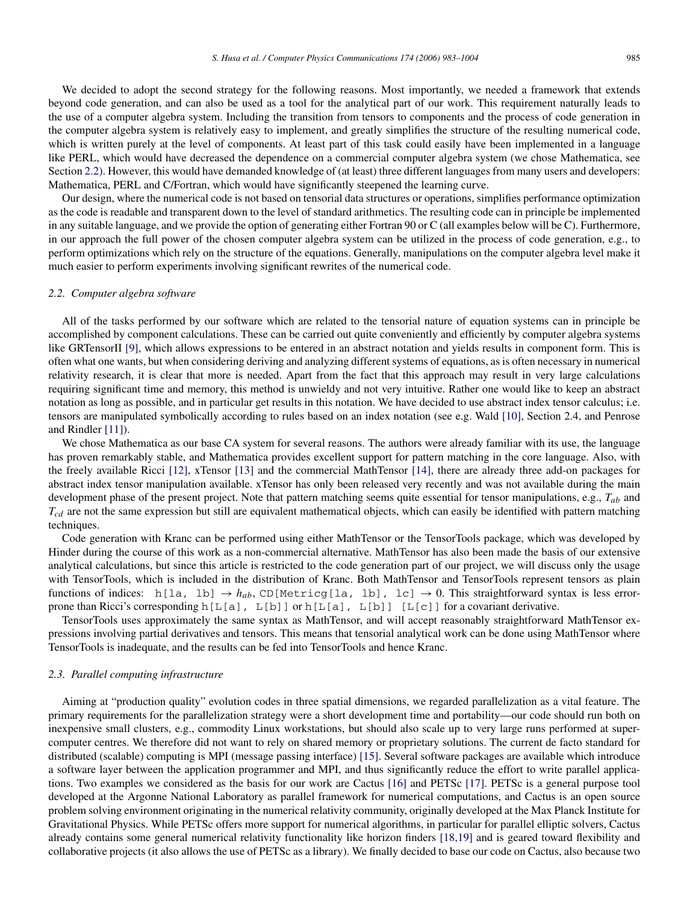We decided to adopt the second strategy for the following reasons. Most importantly, we needed a framework that extends beyond code generation, and can also be used as a tool for the analytical part of our work. This requirement naturally leads to the use of a computer algebra system. Including the transition from tensors to components and the process of code generation in the computer algebra system is relatively easy to implement, and greatly simplifies the structure of the resulting numerical code, which is written purely at the level of components. At least part of this task could easily have been implemented in a language like PERL, which would have decreased the dependence on a commercial computer algebra system (we chose Mathematica, see Section 2.2). However, this would have demanded knowledge of (at least) three different languages from many users and developers: Mathematica, PERL and C/Fortran, which would have significantly steepened the learning curve.

Our design, where the numerical code is not based on tensorial data structures or operations, simplifies performance optimization as the code is readable and transparent down to the level of standard arithmetics. The resulting code can in principle be implemented in any suitable language, and we provide the option of generating either Fortran 90 or C (all examples below will be C). Furthermore, in our approach the full power of the chosen computer algebra system can be utilized in the process of code generation, e.g., to perform optimizations which rely on the structure of the equations. Generally, manipulations on the computer algebra level make it much easier to perform experiments involving significant rewrites of the numerical code.

## *2.2. Computer algebra software*

All of the tasks performed by our software which are related to the tensorial nature of equation systems can in principle be accomplished by component calculations. These can be carried out quite conveniently and efficiently by computer algebra systems like GRTensorII [\[9\],](#page-21-0) which allows expressions to be entered in an abstract notation and yields results in component form. This is often what one wants, but when considering deriving and analyzing different systems of equations, as is often necessary in numerical relativity research, it is clear that more is needed. Apart from the fact that this approach may result in very large calculations requiring significant time and memory, this method is unwieldy and not very intuitive. Rather one would like to keep an abstract notation as long as possible, and in particular get results in this notation. We have decided to use abstract index tensor calculus; i.e. tensors are manipulated symbolically according to rules based on an index notation (see e.g. Wald [\[10\],](#page-21-0) Section 2.4, and Penrose and Rindler [\[11\]\)](#page-21-0).

We chose Mathematica as our base CA system for several reasons. The authors were already familiar with its use, the language has proven remarkably stable, and Mathematica provides excellent support for pattern matching in the core language. Also, with the freely available Ricci [\[12\],](#page-21-0) xTensor [\[13\]](#page-21-0) and the commercial MathTensor [\[14\],](#page-21-0) there are already three add-on packages for abstract index tensor manipulation available. xTensor has only been released very recently and was not available during the main development phase of the present project. Note that pattern matching seems quite essential for tensor manipulations, e.g., *Tab* and *T<sub>cd</sub>* are not the same expression but still are equivalent mathematical objects, which can easily be identified with pattern matching techniques.

Code generation with Kranc can be performed using either MathTensor or the TensorTools package, which was developed by Hinder during the course of this work as a non-commercial alternative. MathTensor has also been made the basis of our extensive analytical calculations, but since this article is restricted to the code generation part of our project, we will discuss only the usage with TensorTools, which is included in the distribution of Kranc. Both MathTensor and TensorTools represent tensors as plain functions of indices: h[la, lb]  $\rightarrow h_{ab}$ , CD[Metricg[la, lb], lc]  $\rightarrow$  0. This straightforward syntax is less errorprone than Ricci's corresponding h[L[a], L[b]] or h[L[a], L[b]] [L[c]] for a covariant derivative.

TensorTools uses approximately the same syntax as MathTensor, and will accept reasonably straightforward MathTensor expressions involving partial derivatives and tensors. This means that tensorial analytical work can be done using MathTensor where TensorTools is inadequate, and the results can be fed into TensorTools and hence Kranc.

#### *2.3. Parallel computing infrastructure*

Aiming at "production quality" evolution codes in three spatial dimensions, we regarded parallelization as a vital feature. The primary requirements for the parallelization strategy were a short development time and portability—our code should run both on inexpensive small clusters, e.g., commodity Linux workstations, but should also scale up to very large runs performed at supercomputer centres. We therefore did not want to rely on shared memory or proprietary solutions. The current de facto standard for distributed (scalable) computing is MPI (message passing interface) [\[15\].](#page-21-0) Several software packages are available which introduce a software layer between the application programmer and MPI, and thus significantly reduce the effort to write parallel applications. Two examples we considered as the basis for our work are Cactus [\[16\]](#page-21-0) and PETSc [\[17\].](#page-21-0) PETSc is a general purpose tool developed at the Argonne National Laboratory as parallel framework for numerical computations, and Cactus is an open source problem solving environment originating in the numerical relativity community, originally developed at the Max Planck Institute for Gravitational Physics. While PETSc offers more support for numerical algorithms, in particular for parallel elliptic solvers, Cactus already contains some general numerical relativity functionality like horizon finders [\[18,19\]](#page-21-0) and is geared toward flexibility and collaborative projects (it also allows the use of PETSc as a library). We finally decided to base our code on Cactus, also because two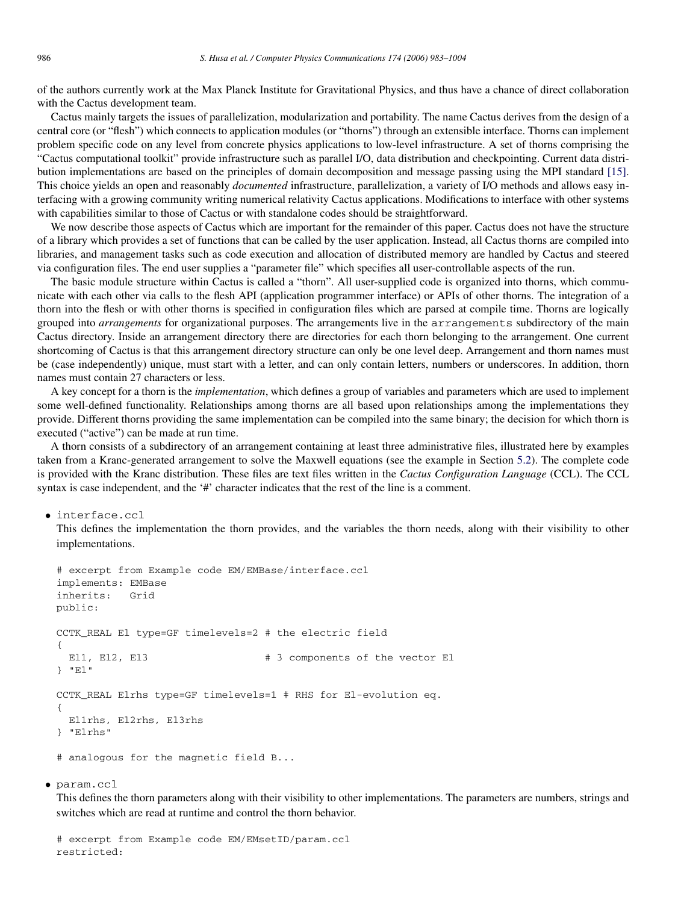of the authors currently work at the Max Planck Institute for Gravitational Physics, and thus have a chance of direct collaboration with the Cactus development team.

Cactus mainly targets the issues of parallelization, modularization and portability. The name Cactus derives from the design of a central core (or "flesh") which connects to application modules (or "thorns") through an extensible interface. Thorns can implement problem specific code on any level from concrete physics applications to low-level infrastructure. A set of thorns comprising the "Cactus computational toolkit" provide infrastructure such as parallel I/O, data distribution and checkpointing. Current data distribution implementations are based on the principles of domain decomposition and message passing using the MPI standard [\[15\].](#page-21-0) This choice yields an open and reasonably *documented* infrastructure, parallelization, a variety of I/O methods and allows easy interfacing with a growing community writing numerical relativity Cactus applications. Modifications to interface with other systems with capabilities similar to those of Cactus or with standalone codes should be straightforward.

We now describe those aspects of Cactus which are important for the remainder of this paper. Cactus does not have the structure of a library which provides a set of functions that can be called by the user application. Instead, all Cactus thorns are compiled into libraries, and management tasks such as code execution and allocation of distributed memory are handled by Cactus and steered via configuration files. The end user supplies a "parameter file" which specifies all user-controllable aspects of the run.

The basic module structure within Cactus is called a "thorn". All user-supplied code is organized into thorns, which communicate with each other via calls to the flesh API (application programmer interface) or APIs of other thorns. The integration of a thorn into the flesh or with other thorns is specified in configuration files which are parsed at compile time. Thorns are logically grouped into *arrangements* for organizational purposes. The arrangements live in the arrangements subdirectory of the main Cactus directory. Inside an arrangement directory there are directories for each thorn belonging to the arrangement. One current shortcoming of Cactus is that this arrangement directory structure can only be one level deep. Arrangement and thorn names must be (case independently) unique, must start with a letter, and can only contain letters, numbers or underscores. In addition, thorn names must contain 27 characters or less.

A key concept for a thorn is the *implementation*, which defines a group of variables and parameters which are used to implement some well-defined functionality. Relationships among thorns are all based upon relationships among the implementations they provide. Different thorns providing the same implementation can be compiled into the same binary; the decision for which thorn is executed ("active") can be made at run time.

A thorn consists of a subdirectory of an arrangement containing at least three administrative files, illustrated here by examples taken from a Kranc-generated arrangement to solve the Maxwell equations (see the example in Section [5.2\)](#page-14-0). The complete code is provided with the Kranc distribution. These files are text files written in the *Cactus Configuration Language* (CCL). The CCL syntax is case independent, and the '#' character indicates that the rest of the line is a comment.

## • interface.ccl

This defines the implementation the thorn provides, and the variables the thorn needs, along with their visibility to other implementations.

```
# excerpt from Example code EM/EMBase/interface.ccl
implements: EMBase
inherits: Grid
public:
CCTK_REAL El type=GF timelevels=2 # the electric field
{
 El1, El2, El3 # 3 components of the vector El
} "El"
CCTK_REAL Elrhs type=GF timelevels=1 # RHS for El-evolution eq.
{
 El1rhs, El2rhs, El3rhs
} "Elrhs"
# analogous for the magnetic field B...
```
• param.ccl

This defines the thorn parameters along with their visibility to other implementations. The parameters are numbers, strings and switches which are read at runtime and control the thorn behavior.

# excerpt from Example code EM/EMsetID/param.ccl restricted: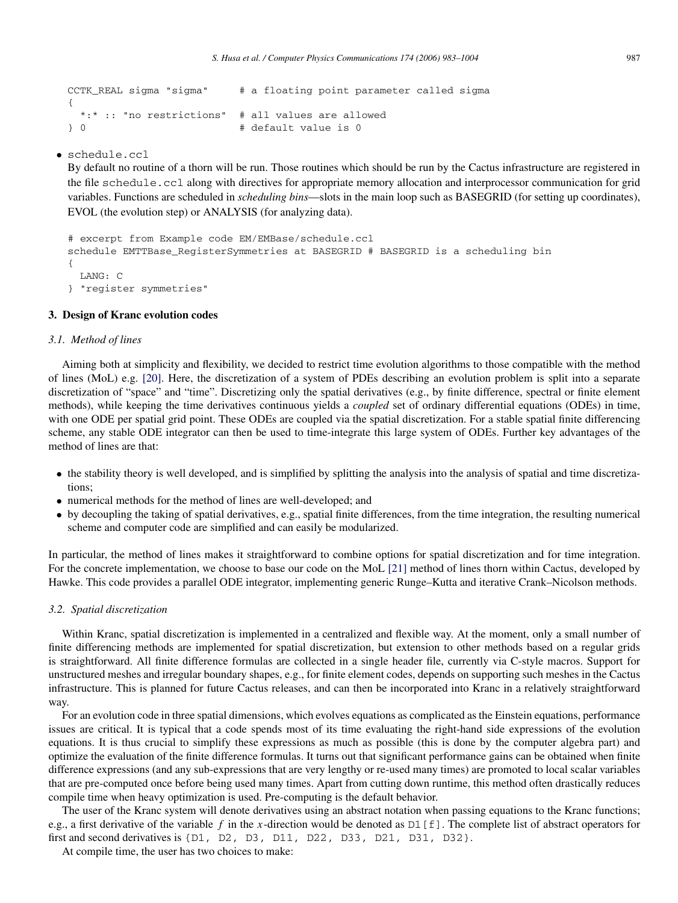```
CCTK_REAL sigma "sigma" # a floating point parameter called sigma
{
 *:* :: "no restrictions" # all values are allowed
} 0 # default value is 0
```
• schedule.ccl

By default no routine of a thorn will be run. Those routines which should be run by the Cactus infrastructure are registered in the file schedule.ccl along with directives for appropriate memory allocation and interprocessor communication for grid variables. Functions are scheduled in *scheduling bins*—slots in the main loop such as BASEGRID (for setting up coordinates), EVOL (the evolution step) or ANALYSIS (for analyzing data).

```
# excerpt from Example code EM/EMBase/schedule.ccl
schedule EMTTBase_RegisterSymmetries at BASEGRID # BASEGRID is a scheduling bin
{
 LANG: C
} "register symmetries"
```
#### **3. Design of Kranc evolution codes**

#### *3.1. Method of lines*

Aiming both at simplicity and flexibility, we decided to restrict time evolution algorithms to those compatible with the method of lines (MoL) e.g. [\[20\].](#page-21-0) Here, the discretization of a system of PDEs describing an evolution problem is split into a separate discretization of "space" and "time". Discretizing only the spatial derivatives (e.g., by finite difference, spectral or finite element methods), while keeping the time derivatives continuous yields a *coupled* set of ordinary differential equations (ODEs) in time, with one ODE per spatial grid point. These ODEs are coupled via the spatial discretization. For a stable spatial finite differencing scheme, any stable ODE integrator can then be used to time-integrate this large system of ODEs. Further key advantages of the method of lines are that:

- the stability theory is well developed, and is simplified by splitting the analysis into the analysis of spatial and time discretizations;
- numerical methods for the method of lines are well-developed; and
- by decoupling the taking of spatial derivatives, e.g., spatial finite differences, from the time integration, the resulting numerical scheme and computer code are simplified and can easily be modularized.

In particular, the method of lines makes it straightforward to combine options for spatial discretization and for time integration. For the concrete implementation, we choose to base our code on the MoL [\[21\]](#page-21-0) method of lines thorn within Cactus, developed by Hawke. This code provides a parallel ODE integrator, implementing generic Runge–Kutta and iterative Crank–Nicolson methods.

#### *3.2. Spatial discretization*

Within Kranc, spatial discretization is implemented in a centralized and flexible way. At the moment, only a small number of finite differencing methods are implemented for spatial discretization, but extension to other methods based on a regular grids is straightforward. All finite difference formulas are collected in a single header file, currently via C-style macros. Support for unstructured meshes and irregular boundary shapes, e.g., for finite element codes, depends on supporting such meshes in the Cactus infrastructure. This is planned for future Cactus releases, and can then be incorporated into Kranc in a relatively straightforward way.

For an evolution code in three spatial dimensions, which evolves equations as complicated as the Einstein equations, performance issues are critical. It is typical that a code spends most of its time evaluating the right-hand side expressions of the evolution equations. It is thus crucial to simplify these expressions as much as possible (this is done by the computer algebra part) and optimize the evaluation of the finite difference formulas. It turns out that significant performance gains can be obtained when finite difference expressions (and any sub-expressions that are very lengthy or re-used many times) are promoted to local scalar variables that are pre-computed once before being used many times. Apart from cutting down runtime, this method often drastically reduces compile time when heavy optimization is used. Pre-computing is the default behavior.

The user of the Kranc system will denote derivatives using an abstract notation when passing equations to the Kranc functions; e.g., a first derivative of the variable  $f$  in the  $x$ -direction would be denoted as  $DI[f]$ . The complete list of abstract operators for first and second derivatives is {D1, D2, D3, D11, D22, D33, D21, D31, D32}.

At compile time, the user has two choices to make: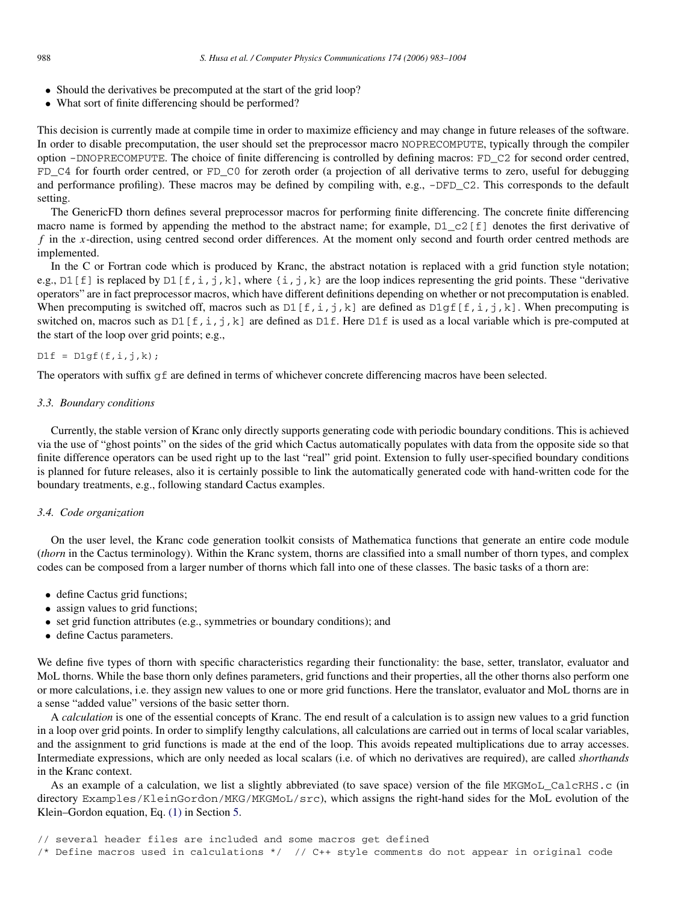- Should the derivatives be precomputed at the start of the grid loop?
- What sort of finite differencing should be performed?

This decision is currently made at compile time in order to maximize efficiency and may change in future releases of the software. In order to disable precomputation, the user should set the preprocessor macro NOPRECOMPUTE, typically through the compiler option -DNOPRECOMPUTE. The choice of finite differencing is controlled by defining macros: FD\_C2 for second order centred, FD\_C4 for fourth order centred, or FD\_C0 for zeroth order (a projection of all derivative terms to zero, useful for debugging and performance profiling). These macros may be defined by compiling with, e.g.,  $-DFD_C2$ . This corresponds to the default setting.

The GenericFD thorn defines several preprocessor macros for performing finite differencing. The concrete finite differencing macro name is formed by appending the method to the abstract name; for example,  $D1_C2[f]$  denotes the first derivative of *f* in the *x*-direction, using centred second order differences. At the moment only second and fourth order centred methods are implemented.

In the C or Fortran code which is produced by Kranc, the abstract notation is replaced with a grid function style notation; e.g.,  $DI[f]$  is replaced by  $DI[f,i,j,k]$ , where  $\{i,j,k\}$  are the loop indices representing the grid points. These "derivative" operators" are in fact preprocessor macros, which have different definitions depending on whether or not precomputation is enabled. When precomputing is switched off, macros such as  $DI[f,i,j,k]$  are defined as  $D1gf[f,i,j,k]$ . When precomputing is switched on, macros such as  $DI[f,i,j,k]$  are defined as  $DIf$ . Here  $DIf$  is used as a local variable which is pre-computed at the start of the loop over grid points; e.g.,

## $D1f = D1gf(f, i, j, k);$

The operators with suffix gf are defined in terms of whichever concrete differencing macros have been selected.

## *3.3. Boundary conditions*

Currently, the stable version of Kranc only directly supports generating code with periodic boundary conditions. This is achieved via the use of "ghost points" on the sides of the grid which Cactus automatically populates with data from the opposite side so that finite difference operators can be used right up to the last "real" grid point. Extension to fully user-specified boundary conditions is planned for future releases, also it is certainly possible to link the automatically generated code with hand-written code for the boundary treatments, e.g., following standard Cactus examples.

## *3.4. Code organization*

On the user level, the Kranc code generation toolkit consists of Mathematica functions that generate an entire code module (*thorn* in the Cactus terminology). Within the Kranc system, thorns are classified into a small number of thorn types, and complex codes can be composed from a larger number of thorns which fall into one of these classes. The basic tasks of a thorn are:

- define Cactus grid functions;
- assign values to grid functions;
- set grid function attributes (e.g., symmetries or boundary conditions); and
- define Cactus parameters.

We define five types of thorn with specific characteristics regarding their functionality: the base, setter, translator, evaluator and MoL thorns. While the base thorn only defines parameters, grid functions and their properties, all the other thorns also perform one or more calculations, i.e. they assign new values to one or more grid functions. Here the translator, evaluator and MoL thorns are in a sense "added value" versions of the basic setter thorn.

A *calculation* is one of the essential concepts of Kranc. The end result of a calculation is to assign new values to a grid function in a loop over grid points. In order to simplify lengthy calculations, all calculations are carried out in terms of local scalar variables, and the assignment to grid functions is made at the end of the loop. This avoids repeated multiplications due to array accesses. Intermediate expressions, which are only needed as local scalars (i.e. of which no derivatives are required), are called *shorthands* in the Kranc context.

As an example of a calculation, we list a slightly abbreviated (to save space) version of the file MKGMoL CalcRHS.c (in directory Examples/KleinGordon/MKG/MKGMoL/src), which assigns the right-hand sides for the MoL evolution of the Klein–Gordon equation, Eq. [\(1\)](#page-12-0) in Section [5.](#page-11-0)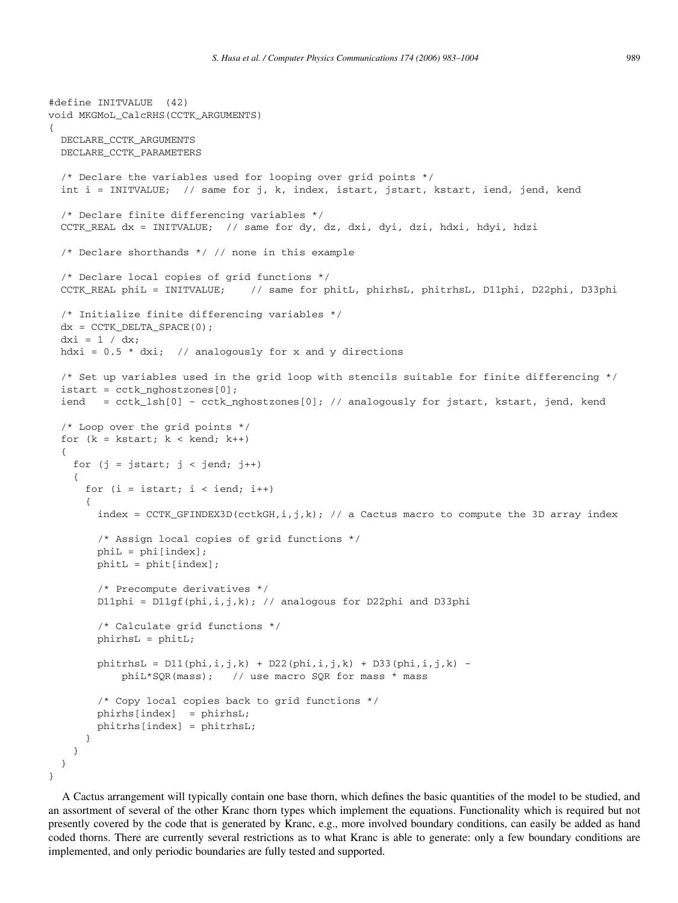```
#define INITVALUE (42)
void MKGMoL_CalcRHS(CCTK_ARGUMENTS)
{
 DECLARE_CCTK_ARGUMENTS
  DECLARE_CCTK_PARAMETERS
  /* Declare the variables used for looping over grid points */
  int i = INITVALUE; // same for j, k, index, istart, jstart, kstart, iend, jend, kend
  /* Declare finite differencing variables */
  CCTK_REAL dx = INITVALUE; // same for dy, dz, dxi, dyi, dzi, hdxi, hdyi, hdzi
  /* Declare shorthands */ // none in this example
  /* Declare local copies of grid functions */
  CCTK_REAL phiL = INITVALUE; // same for phitL, phirhsL, phitrhsL, D11phi, D22phi, D33phi
  /* Initialize finite differencing variables */
  dx = CCTK_DELTA_SPACE(0);dxi = 1 / dx;hdxi = 0.5 * dxi; // analogously for x and y directions
  /* Set up variables used in the grid loop with stencils suitable for finite differencing */
  istart = cctk_nghostzones[0];
  iend = cctk_lsh[0] - cctk_nghostzones[0]; // analogously for jstart, kstart, jend, kend
  /* Loop over the grid points */
  for (k = kstart; k < kend; k++){
    for (i = jstart; j < jend; j++){
      for (i = istart; i < iend; i++){
        index = CCTK_GFINDERX3D(cctkGH,i,j,k); // a Cactus macro to compute the 3D array index
        /* Assign local copies of grid functions */
        phi = phi[index];phi = \text{phit}[\text{index}];/* Precompute derivatives */
        D11phi = D11gf(phi,i,j,k); // analogous for D22phi and D33phi
        /* Calculate grid functions */
        phirhsL = phitL;
        phitrhSL = D11(phi, i, j, k) + D22(phi, i, j, k) + D33(phi, i, j, k) -phiL*SQR(mass); // use macro SQR for mass * mass
        /* Copy local copies back to grid functions */
        phirhs[index] = phirhsL;
       phitrhs[index] = phitrhsL;
      }
    }
  }
}
```
A Cactus arrangement will typically contain one base thorn, which defines the basic quantities of the model to be studied, and an assortment of several of the other Kranc thorn types which implement the equations. Functionality which is required but not presently covered by the code that is generated by Kranc, e.g., more involved boundary conditions, can easily be added as hand coded thorns. There are currently several restrictions as to what Kranc is able to generate: only a few boundary conditions are implemented, and only periodic boundaries are fully tested and supported.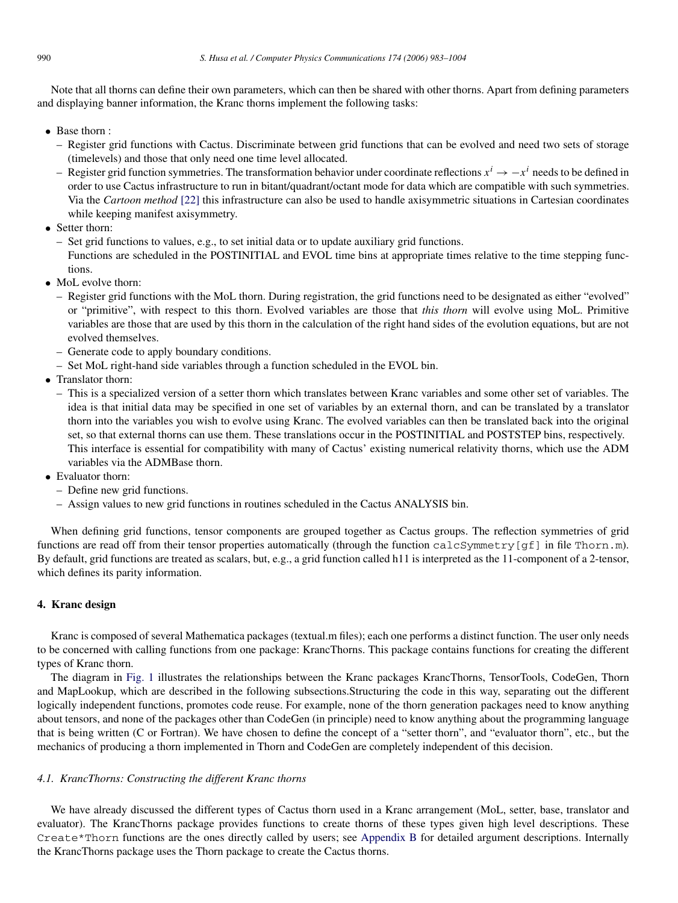<span id="page-7-0"></span>Note that all thorns can define their own parameters, which can then be shared with other thorns. Apart from defining parameters and displaying banner information, the Kranc thorns implement the following tasks:

- Base thorn :
	- Register grid functions with Cactus. Discriminate between grid functions that can be evolved and need two sets of storage (timelevels) and those that only need one time level allocated.
	- Register grid function symmetries. The transformation behavior under coordinate reflections *<sup>x</sup><sup>i</sup>* → −*x<sup>i</sup>* needs to be defined in order to use Cactus infrastructure to run in bitant/quadrant/octant mode for data which are compatible with such symmetries. Via the *Cartoon method* [\[22\]](#page-21-0) this infrastructure can also be used to handle axisymmetric situations in Cartesian coordinates while keeping manifest axisymmetry.
- Setter thorn:
	- Set grid functions to values, e.g., to set initial data or to update auxiliary grid functions. Functions are scheduled in the POSTINITIAL and EVOL time bins at appropriate times relative to the time stepping functions.
- MoL evolve thorn:
	- Register grid functions with the MoL thorn. During registration, the grid functions need to be designated as either "evolved" or "primitive", with respect to this thorn. Evolved variables are those that *this thorn* will evolve using MoL. Primitive variables are those that are used by this thorn in the calculation of the right hand sides of the evolution equations, but are not evolved themselves.
	- Generate code to apply boundary conditions.
	- Set MoL right-hand side variables through a function scheduled in the EVOL bin.
- Translator thorn:
	- This is a specialized version of a setter thorn which translates between Kranc variables and some other set of variables. The idea is that initial data may be specified in one set of variables by an external thorn, and can be translated by a translator thorn into the variables you wish to evolve using Kranc. The evolved variables can then be translated back into the original set, so that external thorns can use them. These translations occur in the POSTINITIAL and POSTSTEP bins, respectively. This interface is essential for compatibility with many of Cactus' existing numerical relativity thorns, which use the ADM variables via the ADMBase thorn.
- Evaluator thorn:
	- Define new grid functions.
	- Assign values to new grid functions in routines scheduled in the Cactus ANALYSIS bin.

When defining grid functions, tensor components are grouped together as Cactus groups. The reflection symmetries of grid functions are read off from their tensor properties automatically (through the function calcSymmetry[qf] in file Thorn.m). By default, grid functions are treated as scalars, but, e.g., a grid function called h11 is interpreted as the 11-component of a 2-tensor, which defines its parity information.

## **4. Kranc design**

Kranc is composed of several Mathematica packages (textual.m files); each one performs a distinct function. The user only needs to be concerned with calling functions from one package: KrancThorns. This package contains functions for creating the different types of Kranc thorn.

The diagram in [Fig. 1](#page-8-0) illustrates the relationships between the Kranc packages KrancThorns, TensorTools, CodeGen, Thorn and MapLookup, which are described in the following subsections.Structuring the code in this way, separating out the different logically independent functions, promotes code reuse. For example, none of the thorn generation packages need to know anything about tensors, and none of the packages other than CodeGen (in principle) need to know anything about the programming language that is being written (C or Fortran). We have chosen to define the concept of a "setter thorn", and "evaluator thorn", etc., but the mechanics of producing a thorn implemented in Thorn and CodeGen are completely independent of this decision.

#### *4.1. KrancThorns: Constructing the different Kranc thorns*

We have already discussed the different types of Cactus thorn used in a Kranc arrangement (MoL, setter, base, translator and evaluator). The KrancThorns package provides functions to create thorns of these types given high level descriptions. These Create\*Thorn functions are the ones directly called by users; see [Appendix B](#page-19-0) for detailed argument descriptions. Internally the KrancThorns package uses the Thorn package to create the Cactus thorns.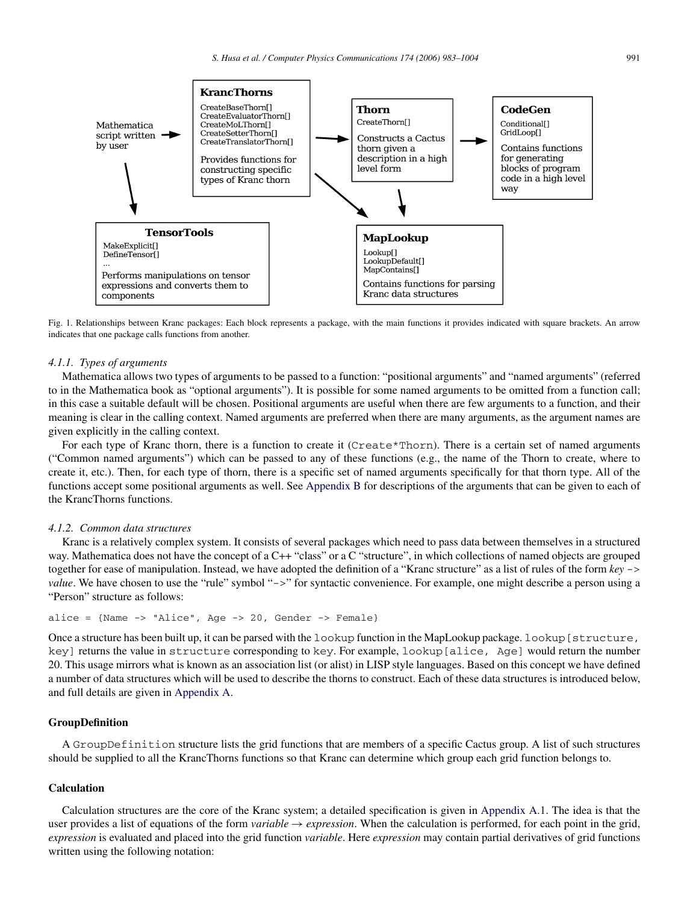<span id="page-8-0"></span>

Fig. 1. Relationships between Kranc packages: Each block represents a package, with the main functions it provides indicated with square brackets. An arrow indicates that one package calls functions from another.

## *4.1.1. Types of arguments*

Mathematica allows two types of arguments to be passed to a function: "positional arguments" and "named arguments" (referred to in the Mathematica book as "optional arguments"). It is possible for some named arguments to be omitted from a function call; in this case a suitable default will be chosen. Positional arguments are useful when there are few arguments to a function, and their meaning is clear in the calling context. Named arguments are preferred when there are many arguments, as the argument names are given explicitly in the calling context.

For each type of Kranc thorn, there is a function to create it (Create\*Thorn). There is a certain set of named arguments ("Common named arguments") which can be passed to any of these functions (e.g., the name of the Thorn to create, where to create it, etc.). Then, for each type of thorn, there is a specific set of named arguments specifically for that thorn type. All of the functions accept some positional arguments as well. See [Appendix B](#page-19-0) for descriptions of the arguments that can be given to each of the KrancThorns functions.

## *4.1.2. Common data structures*

Kranc is a relatively complex system. It consists of several packages which need to pass data between themselves in a structured way. Mathematica does not have the concept of a C++ "class" or a C "structure", in which collections of named objects are grouped together for ease of manipulation. Instead, we have adopted the definition of a "Kranc structure" as a list of rules of the form *key* -> *value*. We have chosen to use the "rule" symbol "->" for syntactic convenience. For example, one might describe a person using a "Person" structure as follows:

```
alice = \{Name \rightarrow "Alice", Age \rightarrow 20, Gender \rightarrow Female\}
```
Once a structure has been built up, it can be parsed with the lookup function in the MapLookup package. lookup [structure, key] returns the value in structure corresponding to key. For example, lookup[alice, Age] would return the number 20. This usage mirrors what is known as an association list (or alist) in LISP style languages. Based on this concept we have defined a number of data structures which will be used to describe the thorns to construct. Each of these data structures is introduced below, and full details are given in [Appendix A.](#page-18-0)

## **GroupDefinition**

A GroupDefinition structure lists the grid functions that are members of a specific Cactus group. A list of such structures should be supplied to all the KrancThorns functions so that Kranc can determine which group each grid function belongs to.

## **Calculation**

Calculation structures are the core of the Kranc system; a detailed specification is given in [Appendix A.1.](#page-19-0) The idea is that the user provides a list of equations of the form *variable*  $\rightarrow$  *expression*. When the calculation is performed, for each point in the grid, *expression* is evaluated and placed into the grid function *variable*. Here *expression* may contain partial derivatives of grid functions written using the following notation: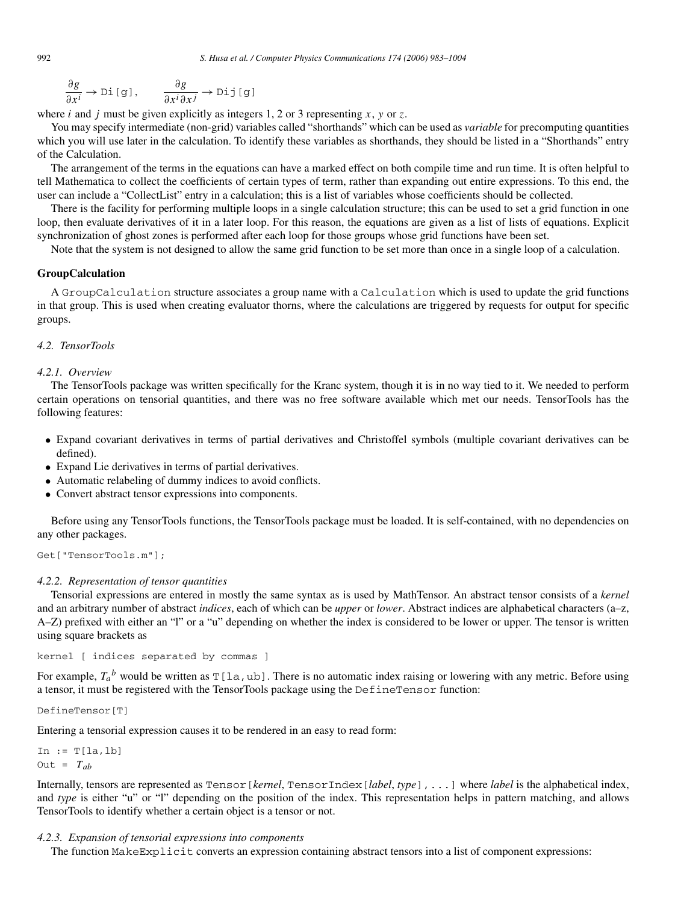$$
\frac{\partial g}{\partial x^i} \to \text{Di}\left[g\right], \qquad \frac{\partial g}{\partial x^i \partial x^j} \to \text{Dij}\left[g\right]
$$

where *i* and *j* must be given explicitly as integers 1, 2 or 3 representing *x*, *y* or *z*.

You may specify intermediate (non-grid) variables called "shorthands" which can be used as *variable* for precomputing quantities which you will use later in the calculation. To identify these variables as shorthands, they should be listed in a "Shorthands" entry of the Calculation.

The arrangement of the terms in the equations can have a marked effect on both compile time and run time. It is often helpful to tell Mathematica to collect the coefficients of certain types of term, rather than expanding out entire expressions. To this end, the user can include a "CollectList" entry in a calculation; this is a list of variables whose coefficients should be collected.

There is the facility for performing multiple loops in a single calculation structure; this can be used to set a grid function in one loop, then evaluate derivatives of it in a later loop. For this reason, the equations are given as a list of lists of equations. Explicit synchronization of ghost zones is performed after each loop for those groups whose grid functions have been set.

Note that the system is not designed to allow the same grid function to be set more than once in a single loop of a calculation.

#### **GroupCalculation**

A GroupCalculation structure associates a group name with a Calculation which is used to update the grid functions in that group. This is used when creating evaluator thorns, where the calculations are triggered by requests for output for specific groups.

#### *4.2. TensorTools*

## *4.2.1. Overview*

The TensorTools package was written specifically for the Kranc system, though it is in no way tied to it. We needed to perform certain operations on tensorial quantities, and there was no free software available which met our needs. TensorTools has the following features:

- Expand covariant derivatives in terms of partial derivatives and Christoffel symbols (multiple covariant derivatives can be defined).
- Expand Lie derivatives in terms of partial derivatives.
- Automatic relabeling of dummy indices to avoid conflicts.
- Convert abstract tensor expressions into components.

Before using any TensorTools functions, the TensorTools package must be loaded. It is self-contained, with no dependencies on any other packages.

Get["TensorTools.m"];

## *4.2.2. Representation of tensor quantities*

Tensorial expressions are entered in mostly the same syntax as is used by MathTensor. An abstract tensor consists of a *kernel* and an arbitrary number of abstract *indices*, each of which can be *upper* or *lower*. Abstract indices are alphabetical characters (a–z, A–Z) prefixed with either an "l" or a "u" depending on whether the index is considered to be lower or upper. The tensor is written using square brackets as

kernel [ indices separated by commas ]

For example,  $T_a^b$  would be written as  $T[la, u b]$ . There is no automatic index raising or lowering with any metric. Before using a tensor, it must be registered with the TensorTools package using the DefineTensor function:

#### DefineTensor[T]

Entering a tensorial expression causes it to be rendered in an easy to read form:

In  $:= T[la, lb]$  $Out = T_{ab}$ 

Internally, tensors are represented as Tensor[*kernel*, TensorIndex[*label*, *type*],...] where *label* is the alphabetical index, and *type* is either "u" or "l" depending on the position of the index. This representation helps in pattern matching, and allows TensorTools to identify whether a certain object is a tensor or not.

#### *4.2.3. Expansion of tensorial expressions into components*

The function MakeExplicit converts an expression containing abstract tensors into a list of component expressions: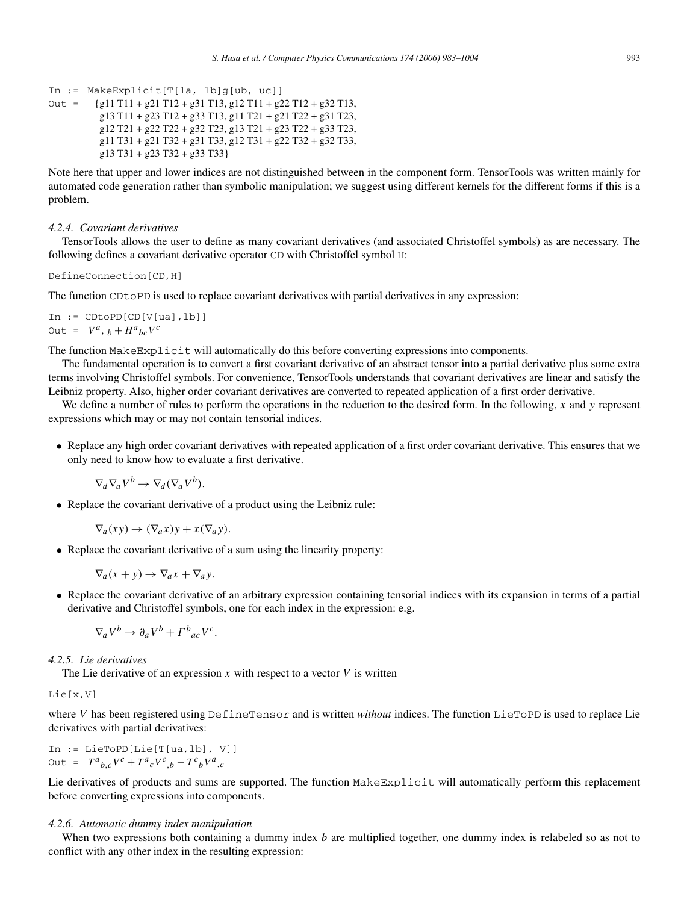```
In := MakeExplicit[T[la, lb]g[ub, uc]]
Out = \{g11 T11 + g21 T12 + g31 T13, g12 T11 + g22 T12 + g32 T13,g13 T11 + g23 T12 + g33 T13, g11 T21 + g21 T22 + g31 T23,
          g12 T21 + g22 T22 + g32 T23, g13 T21 + g23 T22 + g33 T23,
          g11 T31 + g21 T32 + g31 T33, g12 T31 + g22 T32 + g32 T33,
          g13 T31 + g23 T32 + g33 T33}
```
Note here that upper and lower indices are not distinguished between in the component form. TensorTools was written mainly for automated code generation rather than symbolic manipulation; we suggest using different kernels for the different forms if this is a problem.

## *4.2.4. Covariant derivatives*

TensorTools allows the user to define as many covariant derivatives (and associated Christoffel symbols) as are necessary. The following defines a covariant derivative operator CD with Christoffel symbol H:

```
DefineConnection[CD,H]
```
The function CDtoPD is used to replace covariant derivatives with partial derivatives in any expression:

In := CDtoPD[CD[V[ua],lb]]  $Out = V^a, b + H^a{}_{bc}V^c$ 

The function MakeExplicit will automatically do this before converting expressions into components.

The fundamental operation is to convert a first covariant derivative of an abstract tensor into a partial derivative plus some extra terms involving Christoffel symbols. For convenience, TensorTools understands that covariant derivatives are linear and satisfy the Leibniz property. Also, higher order covariant derivatives are converted to repeated application of a first order derivative.

We define a number of rules to perform the operations in the reduction to the desired form. In the following, *x* and *y* represent expressions which may or may not contain tensorial indices.

• Replace any high order covariant derivatives with repeated application of a first order covariant derivative. This ensures that we only need to know how to evaluate a first derivative.

$$
\nabla_d \nabla_a V^b \to \nabla_d (\nabla_a V^b).
$$

• Replace the covariant derivative of a product using the Leibniz rule:

$$
\nabla_a(xy) \to (\nabla_a x)y + x(\nabla_a y).
$$

• Replace the covariant derivative of a sum using the linearity property:

$$
\nabla_a(x+y) \to \nabla_a x + \nabla_a y.
$$

• Replace the covariant derivative of an arbitrary expression containing tensorial indices with its expansion in terms of a partial derivative and Christoffel symbols, one for each index in the expression: e.g.

 $\nabla_a V^b \to \partial_a V^b + \Gamma^b{}_{ac} V^c.$ 

*4.2.5. Lie derivatives*

The Lie derivative of an expression  $x$  with respect to a vector  $V$  is written

Lie[x,V]

where *V* has been registered using DefineTensor and is written *without* indices. The function LieToPD is used to replace Lie derivatives with partial derivatives:

In := LieToPD[Lie[T[ua,lb], V]]  $Out = T^a{}_{b,c}V^c + T^a{}_cV^c{}_{,b} - T^c{}_bV^a{}_{,c}$ 

Lie derivatives of products and sums are supported. The function MakeExplicit will automatically perform this replacement before converting expressions into components.

#### *4.2.6. Automatic dummy index manipulation*

When two expressions both containing a dummy index *b* are multiplied together, one dummy index is relabeled so as not to conflict with any other index in the resulting expression: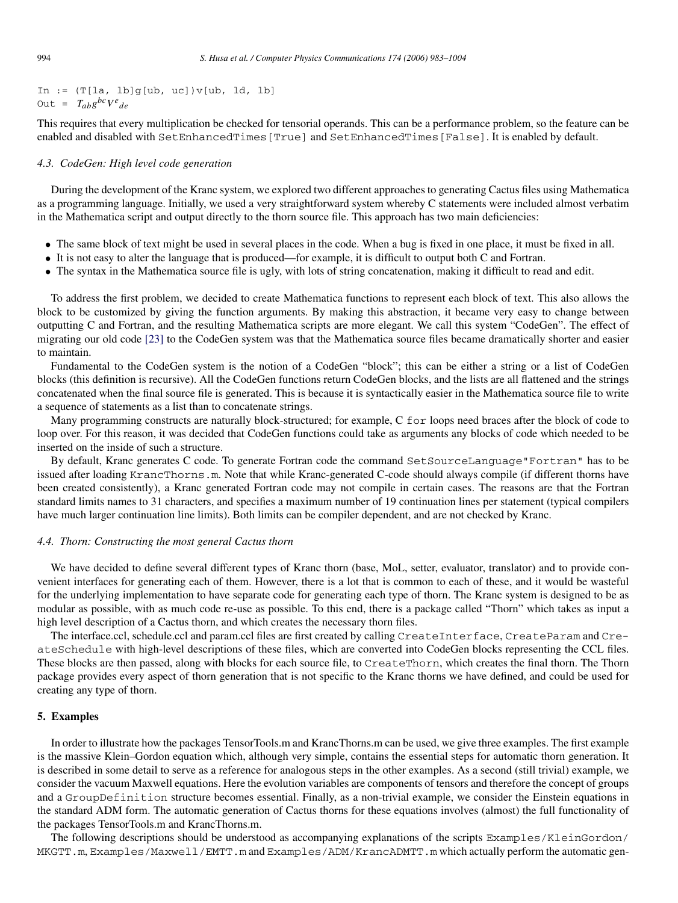<span id="page-11-0"></span>In :=  $(T[la, lb]q[ub, uc])v[ub, ld, lb]$  $Out = T_{ab}g^{bc}V^e{}_{de}$ 

This requires that every multiplication be checked for tensorial operands. This can be a performance problem, so the feature can be enabled and disabled with SetEnhancedTimes[True] and SetEnhancedTimes[False]. It is enabled by default.

#### *4.3. CodeGen: High level code generation*

During the development of the Kranc system, we explored two different approaches to generating Cactus files using Mathematica as a programming language. Initially, we used a very straightforward system whereby C statements were included almost verbatim in the Mathematica script and output directly to the thorn source file. This approach has two main deficiencies:

- The same block of text might be used in several places in the code. When a bug is fixed in one place, it must be fixed in all.
- It is not easy to alter the language that is produced—for example, it is difficult to output both C and Fortran.
- The syntax in the Mathematica source file is ugly, with lots of string concatenation, making it difficult to read and edit.

To address the first problem, we decided to create Mathematica functions to represent each block of text. This also allows the block to be customized by giving the function arguments. By making this abstraction, it became very easy to change between outputting C and Fortran, and the resulting Mathematica scripts are more elegant. We call this system "CodeGen". The effect of migrating our old code [\[23\]](#page-21-0) to the CodeGen system was that the Mathematica source files became dramatically shorter and easier to maintain.

Fundamental to the CodeGen system is the notion of a CodeGen "block"; this can be either a string or a list of CodeGen blocks (this definition is recursive). All the CodeGen functions return CodeGen blocks, and the lists are all flattened and the strings concatenated when the final source file is generated. This is because it is syntactically easier in the Mathematica source file to write a sequence of statements as a list than to concatenate strings.

Many programming constructs are naturally block-structured; for example, C for loops need braces after the block of code to loop over. For this reason, it was decided that CodeGen functions could take as arguments any blocks of code which needed to be inserted on the inside of such a structure.

By default, Kranc generates C code. To generate Fortran code the command SetSourceLanguage"Fortran" has to be issued after loading KrancThorns.m. Note that while Kranc-generated C-code should always compile (if different thorns have been created consistently), a Kranc generated Fortran code may not compile in certain cases. The reasons are that the Fortran standard limits names to 31 characters, and specifies a maximum number of 19 continuation lines per statement (typical compilers have much larger continuation line limits). Both limits can be compiler dependent, and are not checked by Kranc.

#### *4.4. Thorn: Constructing the most general Cactus thorn*

We have decided to define several different types of Kranc thorn (base, MoL, setter, evaluator, translator) and to provide convenient interfaces for generating each of them. However, there is a lot that is common to each of these, and it would be wasteful for the underlying implementation to have separate code for generating each type of thorn. The Kranc system is designed to be as modular as possible, with as much code re-use as possible. To this end, there is a package called "Thorn" which takes as input a high level description of a Cactus thorn, and which creates the necessary thorn files.

The interface.ccl, schedule.ccl and param.ccl files are first created by calling CreateInterface, CreateParam and CreateSchedule with high-level descriptions of these files, which are converted into CodeGen blocks representing the CCL files. These blocks are then passed, along with blocks for each source file, to CreateThorn, which creates the final thorn. The Thorn package provides every aspect of thorn generation that is not specific to the Kranc thorns we have defined, and could be used for creating any type of thorn.

## **5. Examples**

In order to illustrate how the packages TensorTools.m and KrancThorns.m can be used, we give three examples. The first example is the massive Klein–Gordon equation which, although very simple, contains the essential steps for automatic thorn generation. It is described in some detail to serve as a reference for analogous steps in the other examples. As a second (still trivial) example, we consider the vacuum Maxwell equations. Here the evolution variables are components of tensors and therefore the concept of groups and a GroupDefinition structure becomes essential. Finally, as a non-trivial example, we consider the Einstein equations in the standard ADM form. The automatic generation of Cactus thorns for these equations involves (almost) the full functionality of the packages TensorTools.m and KrancThorns.m.

The following descriptions should be understood as accompanying explanations of the scripts Examples/KleinGordon/ MKGTT.m, Examples/Maxwell/EMTT.m and Examples/ADM/KrancADMTT.m which actually perform the automatic gen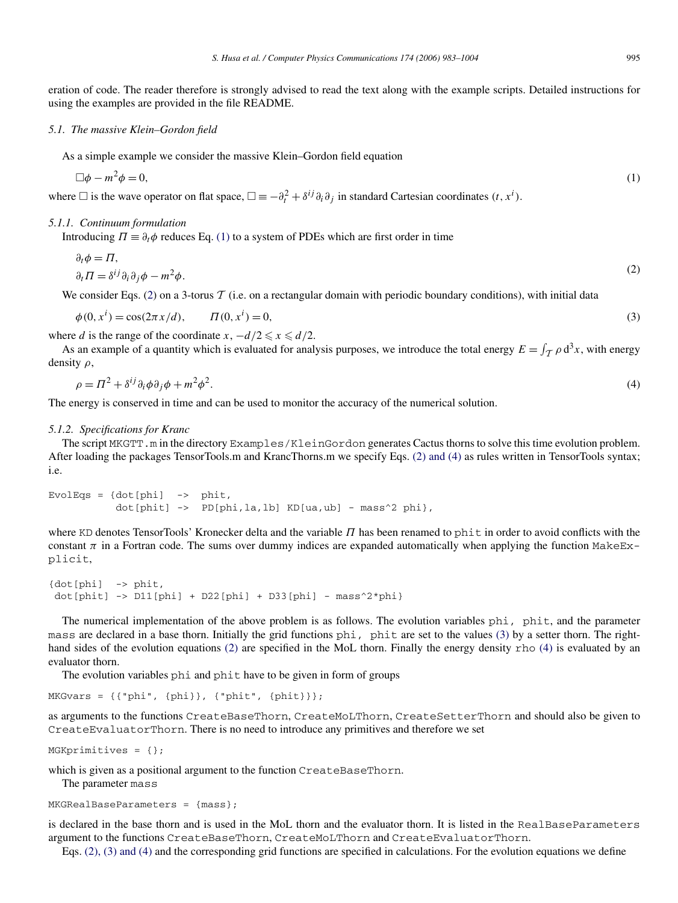<span id="page-12-0"></span>eration of code. The reader therefore is strongly advised to read the text along with the example scripts. Detailed instructions for using the examples are provided in the file README.

#### *5.1. The massive Klein–Gordon field*

As a simple example we consider the massive Klein–Gordon field equation

$$
\Box \phi - m^2 \phi = 0,\tag{1}
$$

where  $\Box$  is the wave operator on flat space,  $\Box \equiv -\partial_t^2 + \delta^{ij}\partial_i\partial_j$  in standard Cartesian coordinates  $(t, x^i)$ .

#### *5.1.1. Continuum formulation*

Introducing  $\Pi \equiv \partial_t \phi$  reduces Eq. (1) to a system of PDEs which are first order in time

$$
\partial_t \phi = \Pi,
$$
  
\n
$$
\partial_t \Pi = \delta^{ij} \partial_i \partial_j \phi - m^2 \phi.
$$
\n(2)

We consider Eqs. (2) on a 3-torus  $T$  (i.e. on a rectangular domain with periodic boundary conditions), with initial data

 $\phi(0, x^i) = \cos(2\pi x/d), \qquad \Pi(0, x^i) = 0,$ (3)

where *d* is the range of the coordinate  $x$ ,  $-d/2 \le x \le d/2$ .

As an example of a quantity which is evaluated for analysis purposes, we introduce the total energy  $E = \int_{\mathcal{T}} \rho \, d^3x$ , with energy density *ρ*,

$$
\rho = \Pi^2 + \delta^{ij}\partial_i\phi\partial_j\phi + m^2\phi^2. \tag{4}
$$

The energy is conserved in time and can be used to monitor the accuracy of the numerical solution.

#### *5.1.2. Specifications for Kranc*

The script MKGTT.m in the directory Examples/KleinGordon generates Cactus thorns to solve this time evolution problem. After loading the packages TensorTools.m and KrancThorns.m we specify Eqs. (2) and (4) as rules written in TensorTools syntax; i.e.

EvolEqs = {dot[phi] -> phit,  $dot[phi]$  -> PD $[phi, la, lb]$  KD $[ua, ub]$  - mass<sup>2</sup> phi},

where KD denotes TensorTools' Kronecker delta and the variable *Π* has been renamed to phit in order to avoid conflicts with the constant  $\pi$  in a Fortran code. The sums over dummy indices are expanded automatically when applying the function MakeExplicit,

```
{dot[phi] -> phit,
dot[phi] -> D11[phi] + D22[phi] + D33[phi] - mass^2*phi
```
The numerical implementation of the above problem is as follows. The evolution variables phi, phit, and the parameter mass are declared in a base thorn. Initially the grid functions phi, phit are set to the values (3) by a setter thorn. The righthand sides of the evolution equations (2) are specified in the MoL thorn. Finally the energy density rho (4) is evaluated by an evaluator thorn.

The evolution variables phi and phit have to be given in form of groups

MKGvars = {{"phi", {phi}}, {"phit", {phit}}};

as arguments to the functions CreateBaseThorn, CreateMoLThorn, CreateSetterThorn and should also be given to CreateEvaluatorThorn. There is no need to introduce any primitives and therefore we set

MGKprimitives = {};

which is given as a positional argument to the function CreateBaseThorn.

The parameter mass

```
MKGRealBaseParameters = {mass};
```
is declared in the base thorn and is used in the MoL thorn and the evaluator thorn. It is listed in the RealBaseParameters argument to the functions CreateBaseThorn, CreateMoLThorn and CreateEvaluatorThorn.

Eqs. (2), (3) and (4) and the corresponding grid functions are specified in calculations. For the evolution equations we define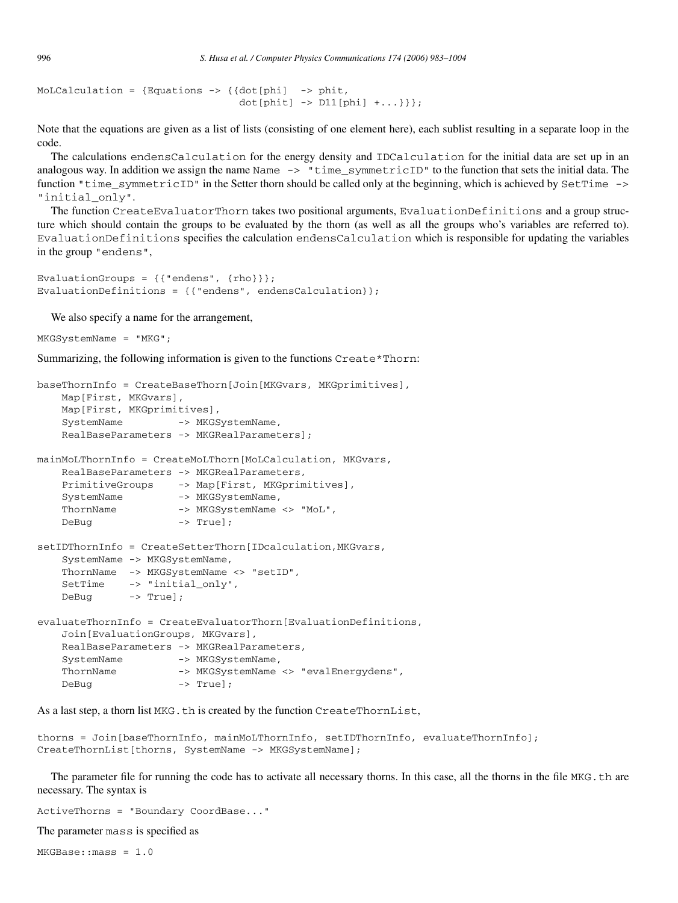```
MoLCalculation = {Equations -> {{dot[phi] -> phit,
                                   dot[phi] \rightarrow D11[phi] + ...}
```
Note that the equations are given as a list of lists (consisting of one element here), each sublist resulting in a separate loop in the code.

The calculations endensCalculation for the energy density and IDCalculation for the initial data are set up in an analogous way. In addition we assign the name Name  $\rightarrow$  "time\_symmetricID" to the function that sets the initial data. The function "time\_symmetricID" in the Setter thorn should be called only at the beginning, which is achieved by SetTime -> "initial\_only".

The function CreateEvaluatorThorn takes two positional arguments, EvaluationDefinitions and a group structure which should contain the groups to be evaluated by the thorn (as well as all the groups who's variables are referred to). EvaluationDefinitions specifies the calculation endensCalculation which is responsible for updating the variables in the group "endens",

```
EvaluationGroups = {{"endens", {rho}}};
EvaluationDefinitions = {{"endens", endensCalculation}};
```
We also specify a name for the arrangement,

```
MKGSystemName = "MKG";
```
Summarizing, the following information is given to the functions Create\*Thorn:

```
baseThornInfo = CreateBaseThorn[Join[MKGvars, MKGprimitives],
   Map[First, MKGvars],
   Map[First, MKGprimitives],
   SystemName -> MKGSystemName,
   RealBaseParameters -> MKGRealParameters];
mainMoLThornInfo = CreateMoLThorn[MoLCalculation, MKGvars,
   RealBaseParameters -> MKGRealParameters,
   PrimitiveGroups -> Map[First, MKGprimitives],
   SystemName -> MKGSystemName,
   ThornName -> MKGSystemName <> "MoL",
   DeBug -> True];
setIDThornInfo = CreateSetterThorn[IDcalculation, MKGvars,
   SystemName -> MKGSystemName,
   ThornName -> MKGSystemName <> "setID",
   SetTime -> "initial_only",
   DeBug -> True];
evaluateThornInfo = CreateEvaluatorThorn[EvaluationDefinitions,
   Join[EvaluationGroups, MKGvars],
   RealBaseParameters -> MKGRealParameters,
   SystemName -> MKGSystemName,
   ThornName -> MKGSystemName <> "evalEnergydens",
   DeBug -> True];
```
As a last step, a thorn list MKG.th is created by the function CreateThornList,

```
thorns = Join[baseThornInfo, mainMoLThornInfo, setIDThornInfo, evaluateThornInfo];
CreateThornList[thorns, SystemName -> MKGSystemName];
```
The parameter file for running the code has to activate all necessary thorns. In this case, all the thorns in the file MKG.th are necessary. The syntax is

ActiveThorns = "Boundary CoordBase..."

The parameter mass is specified as

MKGBase::mass = 1.0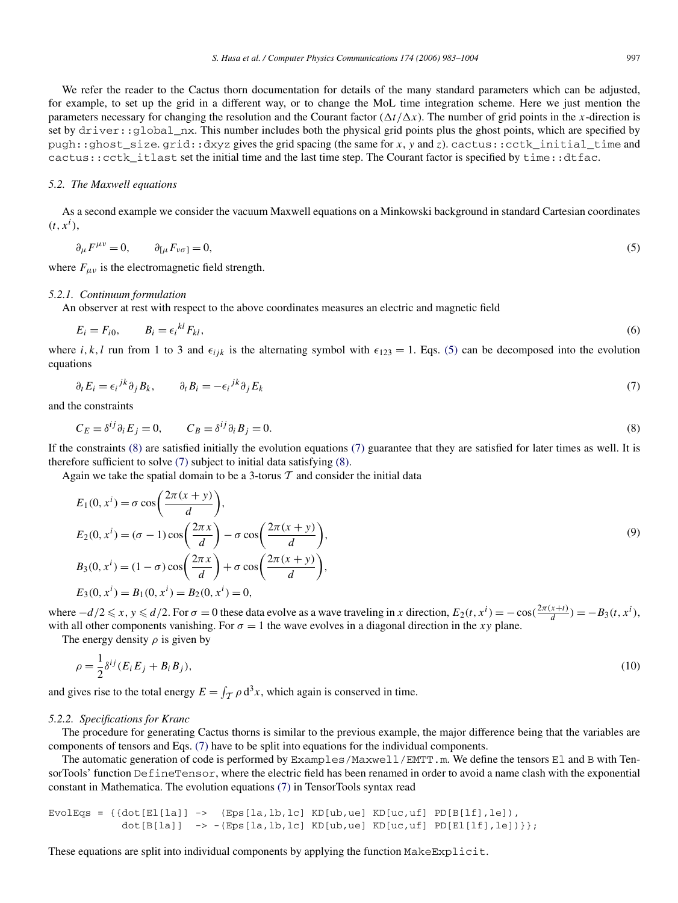<span id="page-14-0"></span>We refer the reader to the Cactus thorn documentation for details of the many standard parameters which can be adjusted, for example, to set up the grid in a different way, or to change the MoL time integration scheme. Here we just mention the parameters necessary for changing the resolution and the Courant factor  $(\Delta t/\Delta x)$ . The number of grid points in the *x*-direction is set by driver::global\_nx. This number includes both the physical grid points plus the ghost points, which are specified by pugh::ghost\_size. grid::dxyz gives the grid spacing (the same for *x*, *y* and *z*). cactus::cctk\_initial\_time and cactus::cctk\_itlast set the initial time and the last time step. The Courant factor is specified by time::dtfac.

## *5.2. The Maxwell equations*

As a second example we consider the vacuum Maxwell equations on a Minkowski background in standard Cartesian coordinates *(t,x<sup>i</sup> )*,

$$
\partial_{\mu}F^{\mu\nu} = 0, \qquad \partial_{\lbrack\mu}F_{\nu\sigma\rbrack} = 0, \tag{5}
$$

where  $F_{\mu\nu}$  is the electromagnetic field strength.

#### *5.2.1. Continuum formulation*

An observer at rest with respect to the above coordinates measures an electric and magnetic field

$$
E_i = F_{i0}, \qquad B_i = \epsilon_i{}^{kl} F_{kl}, \tag{6}
$$

where *i, k, l* run from 1 to 3 and  $\epsilon_{ijk}$  is the alternating symbol with  $\epsilon_{123} = 1$ . Eqs. (5) can be decomposed into the evolution equations

$$
\partial_t E_i = \epsilon_i{}^{jk} \partial_j B_k, \qquad \partial_t B_i = -\epsilon_i{}^{jk} \partial_j E_k \tag{7}
$$

and the constraints

$$
C_E \equiv \delta^{ij} \partial_i E_j = 0, \qquad C_B \equiv \delta^{ij} \partial_i B_j = 0. \tag{8}
$$

If the constraints (8) are satisfied initially the evolution equations (7) guarantee that they are satisfied for later times as well. It is therefore sufficient to solve (7) subject to initial data satisfying (8).

Again we take the spatial domain to be a 3-torus  $T$  and consider the initial data

$$
E_1(0, x^i) = \sigma \cos\left(\frac{2\pi(x + y)}{d}\right),
$$
  
\n
$$
E_2(0, x^i) = (\sigma - 1)\cos\left(\frac{2\pi x}{d}\right) - \sigma \cos\left(\frac{2\pi(x + y)}{d}\right),
$$
  
\n
$$
B_3(0, x^i) = (1 - \sigma)\cos\left(\frac{2\pi x}{d}\right) + \sigma \cos\left(\frac{2\pi(x + y)}{d}\right),
$$
  
\n
$$
E_3(0, x^i) = B_1(0, x^i) = B_2(0, x^i) = 0,
$$
  
\n(9)

where  $-d/2 \le x, y \le d/2$ . For  $\sigma = 0$  these data evolve as a wave traveling in x direction,  $E_2(t, x^i) = -\cos(\frac{2\pi(x+i)}{d}) = -B_3(t, x^i)$ , with all other components vanishing. For  $\sigma = 1$  the wave evolves in a diagonal direction in the *xy* plane.

The energy density  $\rho$  is given by

$$
\rho = \frac{1}{2} \delta^{ij} (E_i E_j + B_i B_j), \tag{10}
$$

and gives rise to the total energy  $E = \int_{\mathcal{T}} \rho \, \mathrm{d}^3 x$ , which again is conserved in time.

#### *5.2.2. Specifications for Kranc*

The procedure for generating Cactus thorns is similar to the previous example, the major difference being that the variables are components of tensors and Eqs. (7) have to be split into equations for the individual components.

The automatic generation of code is performed by Examples/Maxwell/EMTT.m. We define the tensors El and B with TensorTools' function DefineTensor, where the electric field has been renamed in order to avoid a name clash with the exponential constant in Mathematica. The evolution equations (7) in TensorTools syntax read

EvolEqs =  $({dot[El[la]] \rightarrow (Eps[la,lb,lc] KD[ub,ue] KD[uc,uf] PD[B[lf],le])})$  $\texttt{dot[B[la]]} \quad \texttt{--} \quad - \texttt{(Eps[la, lb, lc] \quad KD[ub, ue] \quad KD[uc,uf] \quad PD[El[lf], le]))};$ 

These equations are split into individual components by applying the function MakeExplicit.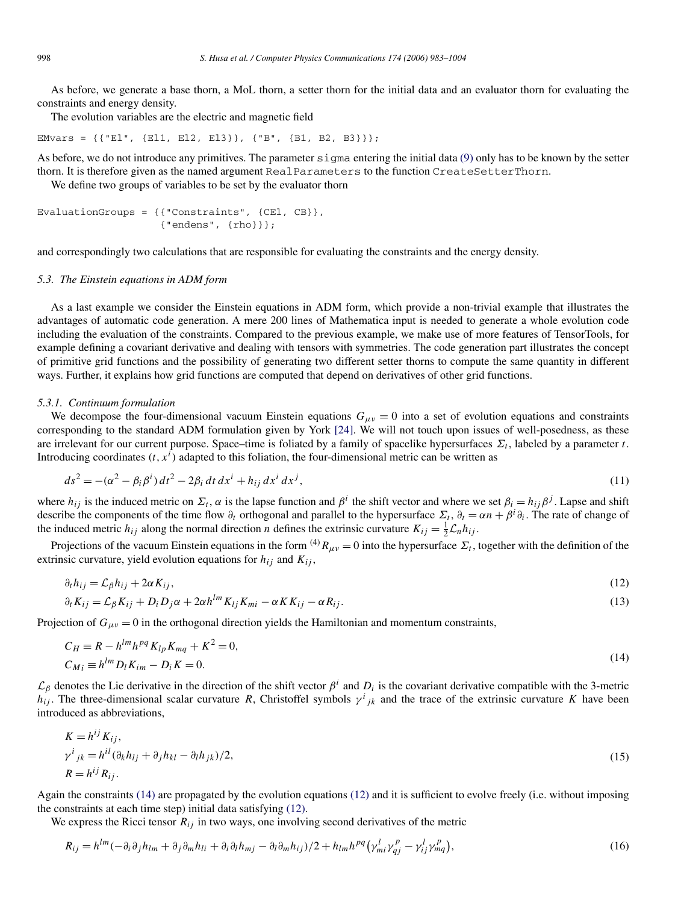<span id="page-15-0"></span>As before, we generate a base thorn, a MoL thorn, a setter thorn for the initial data and an evaluator thorn for evaluating the constraints and energy density.

The evolution variables are the electric and magnetic field

EMvars = {{"El", {El1, El2, El3}}, {"B", {B1, B2, B3}}};

As before, we do not introduce any primitives. The parameter sigma entering the initial data [\(9\)](#page-14-0) only has to be known by the setter thorn. It is therefore given as the named argument RealParameters to the function CreateSetterThorn.

We define two groups of variables to be set by the evaluator thorn

```
EvaluationGroups = {{"Constraints", {CEl, CB}},
                    {"endens", {rho}}};
```
and correspondingly two calculations that are responsible for evaluating the constraints and the energy density.

## *5.3. The Einstein equations in ADM form*

As a last example we consider the Einstein equations in ADM form, which provide a non-trivial example that illustrates the advantages of automatic code generation. A mere 200 lines of Mathematica input is needed to generate a whole evolution code including the evaluation of the constraints. Compared to the previous example, we make use of more features of TensorTools, for example defining a covariant derivative and dealing with tensors with symmetries. The code generation part illustrates the concept of primitive grid functions and the possibility of generating two different setter thorns to compute the same quantity in different ways. Further, it explains how grid functions are computed that depend on derivatives of other grid functions.

#### *5.3.1. Continuum formulation*

We decompose the four-dimensional vacuum Einstein equations  $G_{\mu\nu} = 0$  into a set of evolution equations and constraints corresponding to the standard ADM formulation given by York [\[24\].](#page-21-0) We will not touch upon issues of well-posedness, as these are irrelevant for our current purpose. Space–time is foliated by a family of spacelike hypersurfaces  $\Sigma_t$ , labeled by a parameter *t*. Introducing coordinates  $(t, x^i)$  adapted to this foliation, the four-dimensional metric can be written as

$$
ds^{2} = -(\alpha^{2} - \beta_{i}\beta^{i})dt^{2} - 2\beta_{i}dt dx^{i} + h_{ij}dx^{i}dx^{j},
$$
\n(11)

where  $h_{ij}$  is the induced metric on  $\Sigma_t$ ,  $\alpha$  is the lapse function and  $\beta^i$  the shift vector and where we set  $\beta_i = h_{ij}\beta^j$ . Lapse and shift describe the components of the time flow  $\partial_t$  orthogonal and parallel to the hypersurface  $\Sigma_t$ ,  $\partial_t = \alpha n + \beta^i \partial_i$ . The rate of change of the induced metric  $h_{ij}$  along the normal direction *n* defines the extrinsic curvature  $K_{ij} = \frac{1}{2} \mathcal{L}_n h_{ij}$ .

Projections of the vacuum Einstein equations in the form <sup>(4)</sup>  $R_{\mu\nu} = 0$  into the hypersurface  $\Sigma_t$ , together with the definition of the extrinsic curvature, yield evolution equations for  $h_{ij}$  and  $K_{ij}$ ,

$$
\partial_t h_{ij} = \mathcal{L}_{\beta} h_{ij} + 2\alpha K_{ij},\tag{12}
$$

$$
\partial_t K_{ij} = \mathcal{L}_{\beta} K_{ij} + D_i D_j \alpha + 2\alpha h^{lm} K_{lj} K_{mi} - \alpha K K_{ij} - \alpha R_{ij}.
$$
\n
$$
(13)
$$

Projection of  $G_{\mu\nu} = 0$  in the orthogonal direction yields the Hamiltonian and momentum constraints,

$$
C_H \equiv R - h^{lm} h^{pq} K_{lp} K_{mq} + K^2 = 0,
$$
  
\n
$$
C_{Mi} \equiv h^{lm} D_l K_{im} - D_i K = 0.
$$
\n(14)

 $\mathcal{L}_{\beta}$  denotes the Lie derivative in the direction of the shift vector  $\beta^i$  and  $D_i$  is the covariant derivative compatible with the 3-metric *h*<sub>ij</sub>. The three-dimensional scalar curvature *R*, Christoffel symbols  $\gamma^{i}{}_{jk}$  and the trace of the extrinsic curvature *K* have been introduced as abbreviations,

$$
K = h^{ij} K_{ij},
$$
  
\n
$$
\gamma^{i}{}_{jk} = h^{il} (\partial_{k} h_{lj} + \partial_{j} h_{kl} - \partial_{l} h_{jk})/2,
$$
  
\n
$$
R = h^{ij} R_{ij}.
$$
\n(15)

Again the constraints (14) are propagated by the evolution equations (12) and it is sufficient to evolve freely (i.e. without imposing the constraints at each time step) initial data satisfying (12).

We express the Ricci tensor  $R_{ij}$  in two ways, one involving second derivatives of the metric

$$
R_{ij} = h^{lm}(-\partial_i \partial_j h_{lm} + \partial_j \partial_m h_{li} + \partial_i \partial_l h_{mj} - \partial_l \partial_m h_{ij})/2 + h_{lm}h^{pq}(\gamma_{mi}^l \gamma_{qj}^p - \gamma_{ij}^l \gamma_{mq}^p),\tag{16}
$$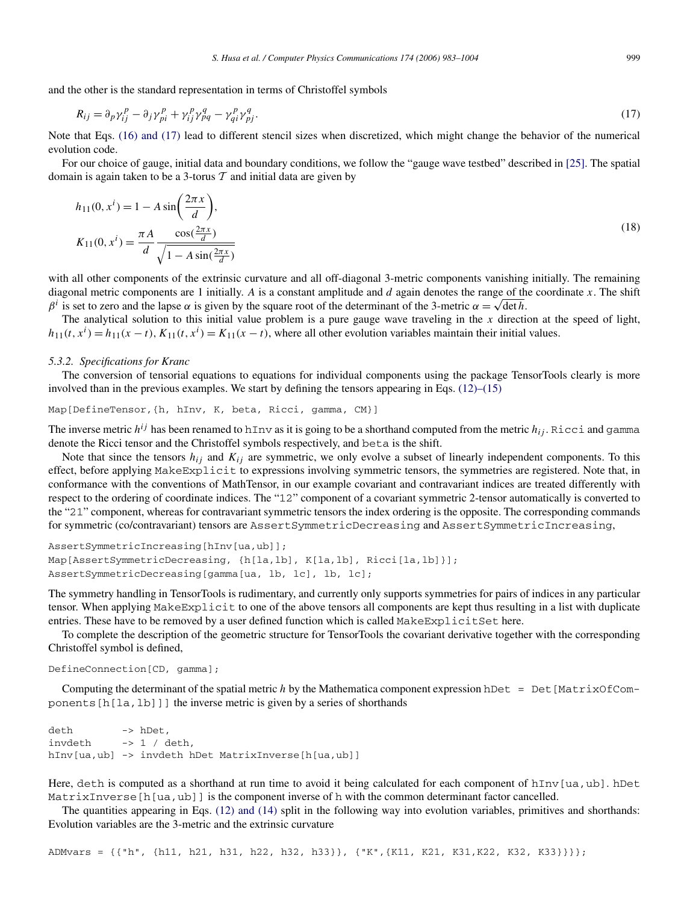<span id="page-16-0"></span>and the other is the standard representation in terms of Christoffel symbols

$$
R_{ij} = \partial_p \gamma_{ij}^p - \partial_j \gamma_{pi}^p + \gamma_{ij}^p \gamma_{pq}^q - \gamma_{qi}^p \gamma_{pj}^q. \tag{17}
$$

Note that Eqs. [\(16\) and \(17\)](#page-15-0) lead to different stencil sizes when discretized, which might change the behavior of the numerical evolution code.

For our choice of gauge, initial data and boundary conditions, we follow the "gauge wave testbed" described in [\[25\].](#page-21-0) The spatial domain is again taken to be a 3-torus  $T$  and initial data are given by

$$
h_{11}(0, x^{i}) = 1 - A \sin\left(\frac{2\pi x}{d}\right),
$$
  

$$
K_{11}(0, x^{i}) = \frac{\pi A}{d} \frac{\cos(\frac{2\pi x}{d})}{\sqrt{1 - A \sin(\frac{2\pi x}{d})}}
$$
 (18)

with all other components of the extrinsic curvature and all off-diagonal 3-metric components vanishing initially. The remaining diagonal metric components are 1 initially. *A* is a constant amplitude and *d* again denotes the range of the coordinate *x*. The shift *β*<sup>*i*</sup> is set to zero and the lapse *α* is given by the square root of the determinant of the 3-metric  $α = \sqrt{\det h}$ .

The analytical solution to this initial value problem is a pure gauge wave traveling in the *x* direction at the speed of light,  $h_{11}(t, x^i) = h_{11}(x - t)$ ,  $K_{11}(t, x^i) = K_{11}(x - t)$ , where all other evolution variables maintain their initial values.

## *5.3.2. Specifications for Kranc*

The conversion of tensorial equations to equations for individual components using the package TensorTools clearly is more involved than in the previous examples. We start by defining the tensors appearing in Eqs.  $(12)$ – $(15)$ 

Map[DefineTensor,{h, hInv, K, beta, Ricci, gamma, CM}]

The inverse metric  $h^{ij}$  has been renamed to hInv as it is going to be a shorthand computed from the metric  $h_{ij}$ . Ricci and gamma denote the Ricci tensor and the Christoffel symbols respectively, and beta is the shift.

Note that since the tensors  $h_{ij}$  and  $K_{ij}$  are symmetric, we only evolve a subset of linearly independent components. To this effect, before applying MakeExplicit to expressions involving symmetric tensors, the symmetries are registered. Note that, in conformance with the conventions of MathTensor, in our example covariant and contravariant indices are treated differently with respect to the ordering of coordinate indices. The "12" component of a covariant symmetric 2-tensor automatically is converted to the "21" component, whereas for contravariant symmetric tensors the index ordering is the opposite. The corresponding commands for symmetric (co/contravariant) tensors are AssertSymmetricDecreasing and AssertSymmetricIncreasing,

```
AssertSymmetricIncreasing[hInv[ua,ub]];
Map[AssertSymmetricDecreasing, {h[la,lb], K[la,lb], Ricci[la,lb]}];
AssertSymmetricDecreasing[gamma[ua, lb, lc], lb, lc];
```
The symmetry handling in TensorTools is rudimentary, and currently only supports symmetries for pairs of indices in any particular tensor. When applying MakeExplicit to one of the above tensors all components are kept thus resulting in a list with duplicate entries. These have to be removed by a user defined function which is called MakeExplicitSet here.

To complete the description of the geometric structure for TensorTools the covariant derivative together with the corresponding Christoffel symbol is defined,

```
DefineConnection[CD, gamma];
```
Computing the determinant of the spatial metric *h* by the Mathematica component expression hDet = Det[MatrixOfComponents[h[la,lb]]] the inverse metric is given by a series of shorthands

```
deth -> hDet,
invdeth -> 1 / deth,
hInv[ua,ub] -> invdeth hDet MatrixInverse[h[ua,ub]]
```
Here, deth is computed as a shorthand at run time to avoid it being calculated for each component of hInv[ua,ub]. hDet  $MatrixInverse[h[ua,ub]]$  is the component inverse of h with the common determinant factor cancelled.

The quantities appearing in Eqs. [\(12\) and \(14\)](#page-15-0) split in the following way into evolution variables, primitives and shorthands: Evolution variables are the 3-metric and the extrinsic curvature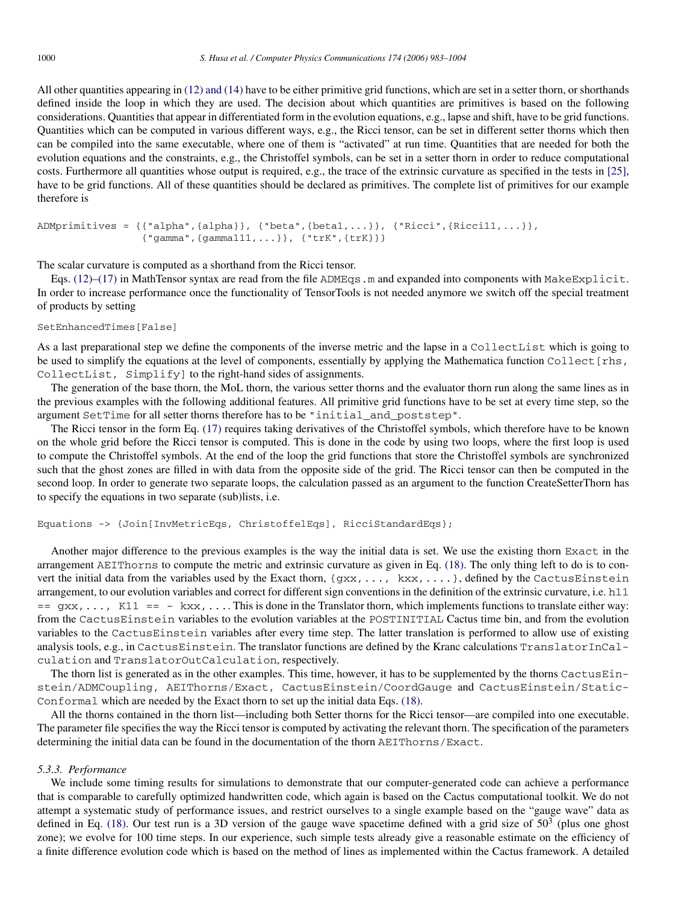All other quantities appearing in [\(12\) and \(14\)](#page-15-0) have to be either primitive grid functions, which are set in a setter thorn, or shorthands defined inside the loop in which they are used. The decision about which quantities are primitives is based on the following considerations. Quantities that appear in differentiated form in the evolution equations, e.g., lapse and shift, have to be grid functions. Quantities which can be computed in various different ways, e.g., the Ricci tensor, can be set in different setter thorns which then can be compiled into the same executable, where one of them is "activated" at run time. Quantities that are needed for both the evolution equations and the constraints, e.g., the Christoffel symbols, can be set in a setter thorn in order to reduce computational costs. Furthermore all quantities whose output is required, e.g., the trace of the extrinsic curvature as specified in the tests in [\[25\],](#page-21-0) have to be grid functions. All of these quantities should be declared as primitives. The complete list of primitives for our example therefore is

```
ADMprimitives = \{ {^\nightharpoonup} \} \{ \verb!alpha!}, \{ \verb!beta!}, \{ \verb!beta!}, \ldots \}, \{ \verb!ricci!, \{ \verb!Ricci1!, \ldots!} \}{ "gamma", {gamma11, ...}}, {{ "trK", {trK}}}
```
The scalar curvature is computed as a shorthand from the Ricci tensor.

Eqs.  $(12)$ – $(17)$  in MathTensor syntax are read from the file ADMEqs.m and expanded into components with MakeExplicit. In order to increase performance once the functionality of TensorTools is not needed anymore we switch off the special treatment of products by setting

SetEnhancedTimes[False]

As a last preparational step we define the components of the inverse metric and the lapse in a CollectList which is going to be used to simplify the equations at the level of components, essentially by applying the Mathematica function Collect [rhs, CollectList, Simplify] to the right-hand sides of assignments.

The generation of the base thorn, the MoL thorn, the various setter thorns and the evaluator thorn run along the same lines as in the previous examples with the following additional features. All primitive grid functions have to be set at every time step, so the argument SetTime for all setter thorns therefore has to be "initial\_and\_poststep".

The Ricci tensor in the form Eq. [\(17\)](#page-16-0) requires taking derivatives of the Christoffel symbols, which therefore have to be known on the whole grid before the Ricci tensor is computed. This is done in the code by using two loops, where the first loop is used to compute the Christoffel symbols. At the end of the loop the grid functions that store the Christoffel symbols are synchronized such that the ghost zones are filled in with data from the opposite side of the grid. The Ricci tensor can then be computed in the second loop. In order to generate two separate loops, the calculation passed as an argument to the function CreateSetterThorn has to specify the equations in two separate (sub)lists, i.e.

Equations -> {Join[InvMetricEqs, ChristoffelEqs], RicciStandardEqs};

Another major difference to the previous examples is the way the initial data is set. We use the existing thorn Exact in the arrangement AEIThorns to compute the metric and extrinsic curvature as given in Eq. [\(18\).](#page-16-0) The only thing left to do is to convert the initial data from the variables used by the Exact thorn,  $\{gxx, \ldots, kxx, \ldots\}$ , defined by the CactusEinstein arrangement, to our evolution variables and correct for different sign conventions in the definition of the extrinsic curvature, i.e. h11  $=$   $gxx$ , ..., K11  $=$   $=$   $kxx$ , .... This is done in the Translator thorn, which implements functions to translate either way: from the CactusEinstein variables to the evolution variables at the POSTINITIAL Cactus time bin, and from the evolution variables to the CactusEinstein variables after every time step. The latter translation is performed to allow use of existing analysis tools, e.g., in CactusEinstein. The translator functions are defined by the Kranc calculations TranslatorInCalculation and TranslatorOutCalculation, respectively.

The thorn list is generated as in the other examples. This time, however, it has to be supplemented by the thorns CactusEinstein/ADMCoupling, AEIThorns/Exact, CactusEinstein/CoordGauge and CactusEinstein/Static-Conformal which are needed by the Exact thorn to set up the initial data Eqs. [\(18\).](#page-16-0)

All the thorns contained in the thorn list—including both Setter thorns for the Ricci tensor—are compiled into one executable. The parameter file specifies the way the Ricci tensor is computed by activating the relevant thorn. The specification of the parameters determining the initial data can be found in the documentation of the thorn AEIThorns/Exact.

#### *5.3.3. Performance*

We include some timing results for simulations to demonstrate that our computer-generated code can achieve a performance that is comparable to carefully optimized handwritten code, which again is based on the Cactus computational toolkit. We do not attempt a systematic study of performance issues, and restrict ourselves to a single example based on the "gauge wave" data as defined in Eq. [\(18\).](#page-16-0) Our test run is a 3D version of the gauge wave spacetime defined with a grid size of  $50<sup>3</sup>$  (plus one ghost zone); we evolve for 100 time steps. In our experience, such simple tests already give a reasonable estimate on the efficiency of a finite difference evolution code which is based on the method of lines as implemented within the Cactus framework. A detailed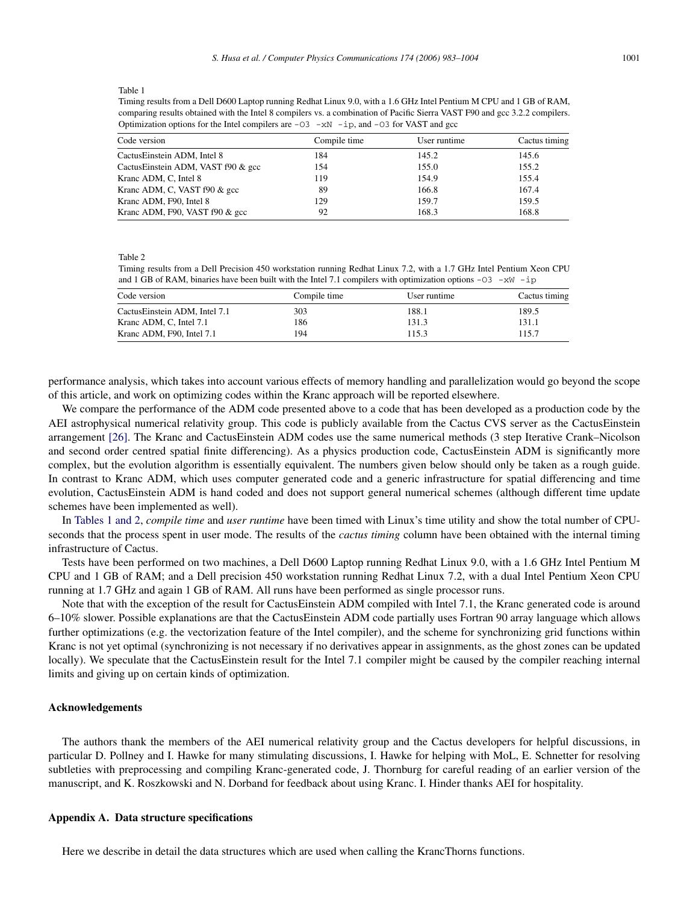#### <span id="page-18-0"></span>Table 1

Timing results from a Dell D600 Laptop running Redhat Linux 9.0, with a 1.6 GHz Intel Pentium M CPU and 1 GB of RAM, comparing results obtained with the Intel 8 compilers vs. a combination of Pacific Sierra VAST F90 and gcc 3.2.2 compilers. Optimization options for the Intel compilers are  $-03$   $-xN$   $-ip$ , and  $-03$  for VAST and gcc

| Code version                        | Compile time | User runtime | Cactus timing |
|-------------------------------------|--------------|--------------|---------------|
| CactusEinstein ADM, Intel 8         | 184          | 145.2        | 145.6         |
| Cactus Einstein ADM, VAST f90 & gcc | 154          | 155.0        | 155.2         |
| Kranc ADM, C, Intel 8               | 119          | 154.9        | 155.4         |
| Kranc ADM, C, VAST f90 & gcc        | 89           | 166.8        | 167.4         |
| Kranc ADM, F90, Intel 8             | 129          | 159.7        | 159.5         |
| Kranc ADM, F90, VAST f90 & gcc      | 92           | 168.3        | 168.8         |

Table 2

Timing results from a Dell Precision 450 workstation running Redhat Linux 7.2, with a 1.7 GHz Intel Pentium Xeon CPU and 1 GB of RAM, binaries have been built with the Intel 7.1 compilers with optimization options  $-03 -xW -ip$ 

| Code version                  | Compile time | User runtime | Cactus timing |
|-------------------------------|--------------|--------------|---------------|
| CactusEinstein ADM, Intel 7.1 | 303          | 188.1        | 189.5         |
| Kranc ADM, C, Intel 7.1       | 186          | 131.3        | 131.1         |
| Kranc ADM, F90, Intel 7.1     | 194          | 115.3        | 115.7         |

performance analysis, which takes into account various effects of memory handling and parallelization would go beyond the scope of this article, and work on optimizing codes within the Kranc approach will be reported elsewhere.

We compare the performance of the ADM code presented above to a code that has been developed as a production code by the AEI astrophysical numerical relativity group. This code is publicly available from the Cactus CVS server as the CactusEinstein arrangement [\[26\].](#page-21-0) The Kranc and CactusEinstein ADM codes use the same numerical methods (3 step Iterative Crank–Nicolson and second order centred spatial finite differencing). As a physics production code, CactusEinstein ADM is significantly more complex, but the evolution algorithm is essentially equivalent. The numbers given below should only be taken as a rough guide. In contrast to Kranc ADM, which uses computer generated code and a generic infrastructure for spatial differencing and time evolution, CactusEinstein ADM is hand coded and does not support general numerical schemes (although different time update schemes have been implemented as well).

In Tables 1 and 2, *compile time* and *user runtime* have been timed with Linux's time utility and show the total number of CPUseconds that the process spent in user mode. The results of the *cactus timing* column have been obtained with the internal timing infrastructure of Cactus.

Tests have been performed on two machines, a Dell D600 Laptop running Redhat Linux 9.0, with a 1.6 GHz Intel Pentium M CPU and 1 GB of RAM; and a Dell precision 450 workstation running Redhat Linux 7.2, with a dual Intel Pentium Xeon CPU running at 1.7 GHz and again 1 GB of RAM. All runs have been performed as single processor runs.

Note that with the exception of the result for CactusEinstein ADM compiled with Intel 7.1, the Kranc generated code is around 6–10% slower. Possible explanations are that the CactusEinstein ADM code partially uses Fortran 90 array language which allows further optimizations (e.g. the vectorization feature of the Intel compiler), and the scheme for synchronizing grid functions within Kranc is not yet optimal (synchronizing is not necessary if no derivatives appear in assignments, as the ghost zones can be updated locally). We speculate that the CactusEinstein result for the Intel 7.1 compiler might be caused by the compiler reaching internal limits and giving up on certain kinds of optimization.

#### **Acknowledgements**

The authors thank the members of the AEI numerical relativity group and the Cactus developers for helpful discussions, in particular D. Pollney and I. Hawke for many stimulating discussions, I. Hawke for helping with MoL, E. Schnetter for resolving subtleties with preprocessing and compiling Kranc-generated code, J. Thornburg for careful reading of an earlier version of the manuscript, and K. Roszkowski and N. Dorband for feedback about using Kranc. I. Hinder thanks AEI for hospitality.

#### **Appendix A. Data structure specifications**

Here we describe in detail the data structures which are used when calling the KrancThorns functions.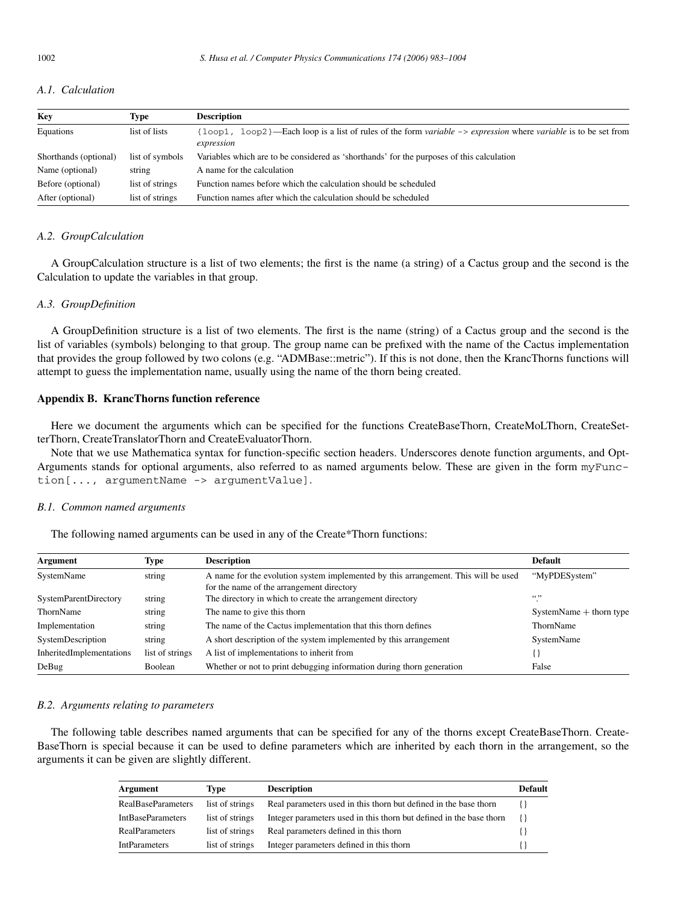## <span id="page-19-0"></span>*A.1. Calculation*

| Key                   | <b>Type</b>     | <b>Description</b>                                                                                                                                          |
|-----------------------|-----------------|-------------------------------------------------------------------------------------------------------------------------------------------------------------|
| Equations             | list of lists   | $\{\text{loop1}, \text{loop2}\}$ —Each loop is a list of rules of the form variable $\rightarrow$ expression where variable is to be set from<br>expression |
| Shorthands (optional) | list of symbols | Variables which are to be considered as 'shorthands' for the purposes of this calculation                                                                   |
| Name (optional)       | string          | A name for the calculation                                                                                                                                  |
| Before (optional)     | list of strings | Function names before which the calculation should be scheduled                                                                                             |
| After (optional)      | list of strings | Function names after which the calculation should be scheduled                                                                                              |

## *A.2. GroupCalculation*

A GroupCalculation structure is a list of two elements; the first is the name (a string) of a Cactus group and the second is the Calculation to update the variables in that group.

#### *A.3. GroupDefinition*

A GroupDefinition structure is a list of two elements. The first is the name (string) of a Cactus group and the second is the list of variables (symbols) belonging to that group. The group name can be prefixed with the name of the Cactus implementation that provides the group followed by two colons (e.g. "ADMBase::metric"). If this is not done, then the KrancThorns functions will attempt to guess the implementation name, usually using the name of the thorn being created.

## **Appendix B. KrancThorns function reference**

Here we document the arguments which can be specified for the functions CreateBaseThorn, CreateMoLThorn, CreateSetterThorn, CreateTranslatorThorn and CreateEvaluatorThorn.

Note that we use Mathematica syntax for function-specific section headers. Underscores denote function arguments, and Opt-Arguments stands for optional arguments, also referred to as named arguments below. These are given in the form myFunction[..., argumentName -> argumentValue].

#### *B.1. Common named arguments*

The following named arguments can be used in any of the Create\*Thorn functions:

| Argument                     | Type            | <b>Description</b>                                                                                                              | <b>Default</b>            |
|------------------------------|-----------------|---------------------------------------------------------------------------------------------------------------------------------|---------------------------|
| SystemName                   | string          | A name for the evolution system implemented by this arrangement. This will be used<br>for the name of the arrangement directory | "MyPDESystem"             |
| <b>SystemParentDirectory</b> | string          | The directory in which to create the arrangement directory                                                                      | 66, 99                    |
| ThornName                    | string          | The name to give this thorn                                                                                                     | $SystemName + thorn type$ |
| Implementation               | string          | The name of the Cactus implementation that this thorn defines                                                                   | ThornName                 |
| SystemDescription            | string          | A short description of the system implemented by this arrangement                                                               | SystemName                |
| InheritedImplementations     | list of strings | A list of implementations to inherit from                                                                                       |                           |
| DeBug                        | Boolean         | Whether or not to print debugging information during thorn generation                                                           | False                     |

#### *B.2. Arguments relating to parameters*

The following table describes named arguments that can be specified for any of the thorns except CreateBaseThorn. Create-BaseThorn is special because it can be used to define parameters which are inherited by each thorn in the arrangement, so the arguments it can be given are slightly different.

| Argument                  | Type            | <b>Description</b>                                                  | <b>Default</b> |
|---------------------------|-----------------|---------------------------------------------------------------------|----------------|
| <b>RealBaseParameters</b> | list of strings | Real parameters used in this thorn but defined in the base thorn    | $\{\ \}$       |
| <b>IntBaseParameters</b>  | list of strings | Integer parameters used in this thorn but defined in the base thorn | <b>II</b>      |
| <b>RealParameters</b>     | list of strings | Real parameters defined in this thorn                               |                |
| <b>IntParameters</b>      | list of strings | Integer parameters defined in this thorn                            |                |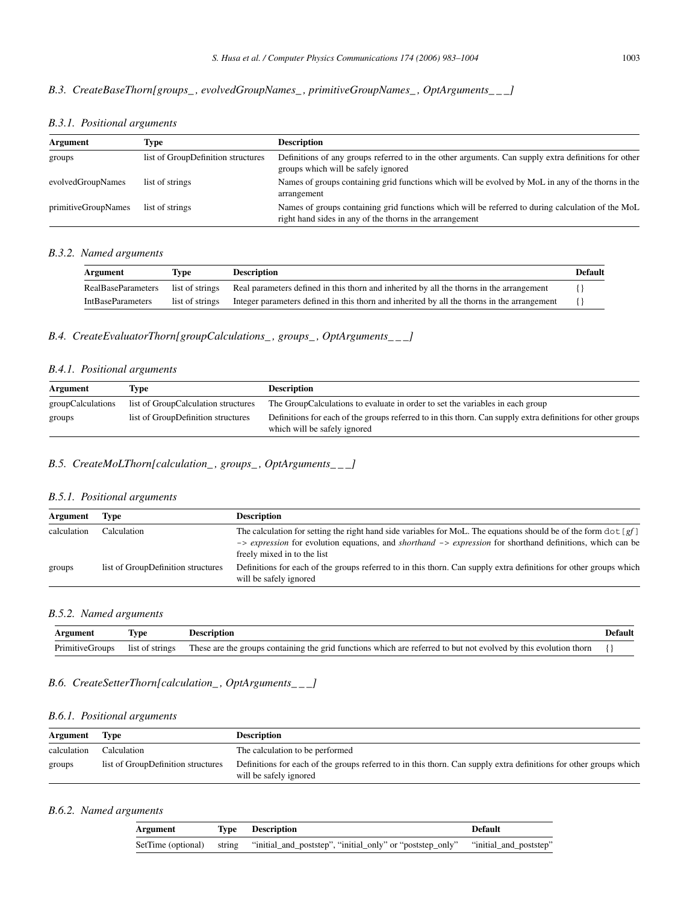# *B.3. CreateBaseThorn[groups\_ , evolvedGroupNames\_ , primitiveGroupNames\_ , OptArguments\_ \_ \_]*

|  | B.3.1. Positional arguments |  |
|--|-----------------------------|--|
|--|-----------------------------|--|

| Argument            | Type                               | <b>Description</b>                                                                                                                                            |
|---------------------|------------------------------------|---------------------------------------------------------------------------------------------------------------------------------------------------------------|
|                     |                                    |                                                                                                                                                               |
| groups              | list of GroupDefinition structures | Definitions of any groups referred to in the other arguments. Can supply extra definitions for other<br>groups which will be safely ignored                   |
| evolvedGroupNames   | list of strings                    | Names of groups containing grid functions which will be evolved by MoL in any of the thorns in the<br>arrangement                                             |
| primitiveGroupNames | list of strings                    | Names of groups containing grid functions which will be referred to during calculation of the MoL<br>right hand sides in any of the thorns in the arrangement |

## *B.3.2. Named arguments*

| Argument                  | Tvpe            | <b>Description</b>                                                                          | <b>Default</b> |
|---------------------------|-----------------|---------------------------------------------------------------------------------------------|----------------|
| <b>RealBaseParameters</b> | list of strings | Real parameters defined in this thorn and inherited by all the thorns in the arrangement    |                |
| <b>IntBaseParameters</b>  | list of strings | Integer parameters defined in this thorn and inherited by all the thorns in the arrangement |                |

## *B.4. CreateEvaluatorThorn[groupCalculations\_ , groups\_ , OptArguments\_ \_ \_]*

## *B.4.1. Positional arguments*

| Argument          | Type                                | <b>Description</b>                                                                                                                          |
|-------------------|-------------------------------------|---------------------------------------------------------------------------------------------------------------------------------------------|
| groupCalculations | list of GroupCalculation structures | The GroupCalculations to evaluate in order to set the variables in each group                                                               |
| groups            | list of GroupDefinition structures  | Definitions for each of the groups referred to in this thorn. Can supply extra definitions for other groups<br>which will be safely ignored |

# *B.5. CreateMoLThorn[calculation\_ , groups\_ , OptArguments\_ \_ \_]*

## *B.5.1. Positional arguments*

| Argument    | <b>Type</b>                        | <b>Description</b>                                                                                                                                                                                                                                                                                            |
|-------------|------------------------------------|---------------------------------------------------------------------------------------------------------------------------------------------------------------------------------------------------------------------------------------------------------------------------------------------------------------|
| calculation | Calculation                        | The calculation for setting the right hand side variables for MoL. The equations should be of the form $\text{dot} [gf]$<br>$\rightarrow$ expression for evolution equations, and <i>shorthand <math>\rightarrow</math> expression</i> for shorthand definitions, which can be<br>freely mixed in to the list |
| groups      | list of GroupDefinition structures | Definitions for each of the groups referred to in this thorn. Can supply extra definitions for other groups which<br>will be safely ignored                                                                                                                                                                   |

## *B.5.2. Named arguments*

| Argument | Lvpe | <b>Description</b>                                                                                                                               | Default |
|----------|------|--------------------------------------------------------------------------------------------------------------------------------------------------|---------|
|          |      | PrimitiveGroups list of strings These are the groups containing the grid functions which are referred to but not evolved by this evolution thorn |         |

## *B.6. CreateSetterThorn[calculation\_ , OptArguments\_ \_ \_]*

## *B.6.1. Positional arguments*

| Argument    | Type                               | <b>Description</b>                                                                                                                          |
|-------------|------------------------------------|---------------------------------------------------------------------------------------------------------------------------------------------|
| calculation | Calculation                        | The calculation to be performed                                                                                                             |
| groups      | list of GroupDefinition structures | Definitions for each of the groups referred to in this thorn. Can supply extra definitions for other groups which<br>will be safely ignored |

## *B.6.2. Named arguments*

| Argument | <b>Type Description</b>                                                             | <b>Default</b>         |
|----------|-------------------------------------------------------------------------------------|------------------------|
|          | SetTime (optional) string "initial_and_poststep", "initial_only" or "poststep_only" | "initial_and_poststep" |